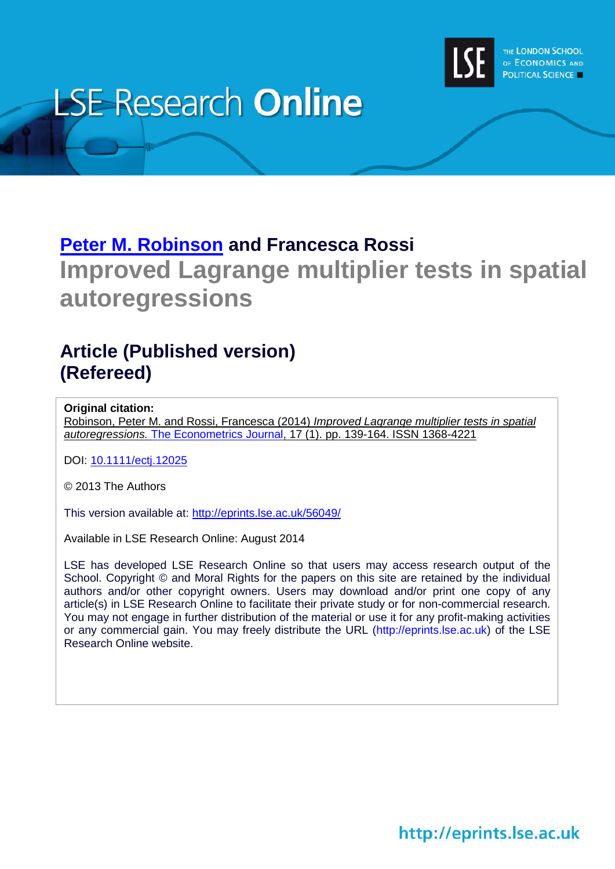

# **LSE Research Online**

## **[Peter M. Robinson](http://www.lse.ac.uk/researchAndExpertise/Experts/profile.aspx?KeyValue=p.m.robinson@lse.ac.uk) and Francesca Rossi Improved Lagrange multiplier tests in spatial autoregressions**

### **Article (Published version) (Refereed)**

#### **Original citation:**

Robinson, Peter M. and Rossi, Francesca (2014) *Improved Lagrange multiplier tests in spatial autoregressions.* [The Econometrics Journal,](http://onlinelibrary.wiley.com/journal/10.1111/(ISSN)1368-423X) 17 (1). pp. 139-164. ISSN 1368-4221

DOI: [10.1111/ectj.12025](http://dx.doi.org/10.1111/ectj.12025)

© 2013 The Authors

This version available at:<http://eprints.lse.ac.uk/56049/>

Available in LSE Research Online: August 2014

LSE has developed LSE Research Online so that users may access research output of the School. Copyright © and Moral Rights for the papers on this site are retained by the individual authors and/or other copyright owners. Users may download and/or print one copy of any article(s) in LSE Research Online to facilitate their private study or for non-commercial research. You may not engage in further distribution of the material or use it for any profit-making activities or any commercial gain. You may freely distribute the URL (http://eprints.lse.ac.uk) of the LSE Research Online website.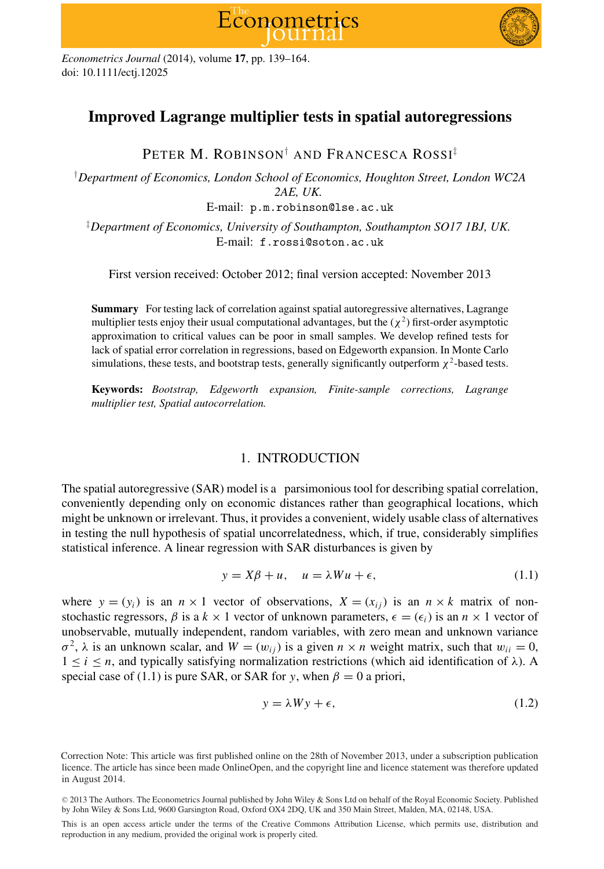



*Econometrics Journal* (2014), volume **17**, pp. 139–164. doi: 10.1111/ectj.12025

#### **Improved Lagrange multiplier tests in spatial autoregressions**

PETER M. ROBINSON*†* AND FRANCESCA ROSSI*‡*

*† Department of Economics, London School of Economics, Houghton Street, London WC2A 2AE, UK.*

E-mail: p.m.robinson@lse.ac.uk

*‡ Department of Economics, University of Southampton, Southampton SO17 1BJ, UK.* E-mail: f.rossi@soton.ac.uk

First version received: October 2012; final version accepted: November 2013

**Summary** For testing lack of correlation against spatial autoregressive alternatives, Lagrange multiplier tests enjoy their usual computational advantages, but the  $(\chi^2)$  first-order asymptotic approximation to critical values can be poor in small samples. We develop refined tests for lack of spatial error correlation in regressions, based on Edgeworth expansion. In Monte Carlo simulations, these tests, and bootstrap tests, generally significantly outperform  $\chi^2$ -based tests.

**Keywords:** *Bootstrap, Edgeworth expansion, Finite-sample corrections, Lagrange multiplier test, Spatial autocorrelation.*

#### 1. INTRODUCTION

The spatial autoregressive (SAR) model is a parsimonious tool for describing spatial correlation, conveniently depending only on economic distances rather than geographical locations, which might be unknown or irrelevant. Thus, it provides a convenient, widely usable class of alternatives in testing the null hypothesis of spatial uncorrelatedness, which, if true, considerably simplifies statistical inference. A linear regression with SAR disturbances is given by

$$
y = X\beta + u, \quad u = \lambda Wu + \epsilon,
$$
\n(1.1)

where  $y = (y_i)$  is an  $n \times 1$  vector of observations,  $X = (x_i)$  is an  $n \times k$  matrix of nonstochastic regressors,  $\beta$  is a  $k \times 1$  vector of unknown parameters,  $\epsilon = (\epsilon_i)$  is an  $n \times 1$  vector of unobservable, mutually independent, random variables, with zero mean and unknown variance  $\sigma^2$ ,  $\lambda$  is an unknown scalar, and  $W = (w_{ij})$  is a given  $n \times n$  weight matrix, such that  $w_{ij} = 0$ , <sup>1</sup> <sup>≤</sup> *<sup>i</sup>* <sup>≤</sup> *<sup>n</sup>*, and typically satisfying normalization restrictions (which aid identification of *<sup>λ</sup>*). A special case of (1.1) is pure SAR, or SAR for *y*, when  $\beta = 0$  a priori,

$$
y = \lambda Wy + \epsilon,\tag{1.2}
$$

Correction Note: This article was first published online on the 28th of November 2013, under a subscription publication licence. The article has since been made OnlineOpen, and the copyright line and licence statement was therefore updated in August 2014.

<sup>C</sup> 2013 The Authors. The Econometrics Journal published by John Wiley & Sons Ltd on behalf of the Royal Economic Society. Published by John Wiley & Sons Ltd, 9600 Garsington Road, Oxford OX4 2DQ, UK and 350 Main Street, Malden, MA, 02148, USA.

This is an open access article under the terms of the Creative Commons Attribution License, which permits use, distribution and reproduction in any medium, provided the original work is properly cited.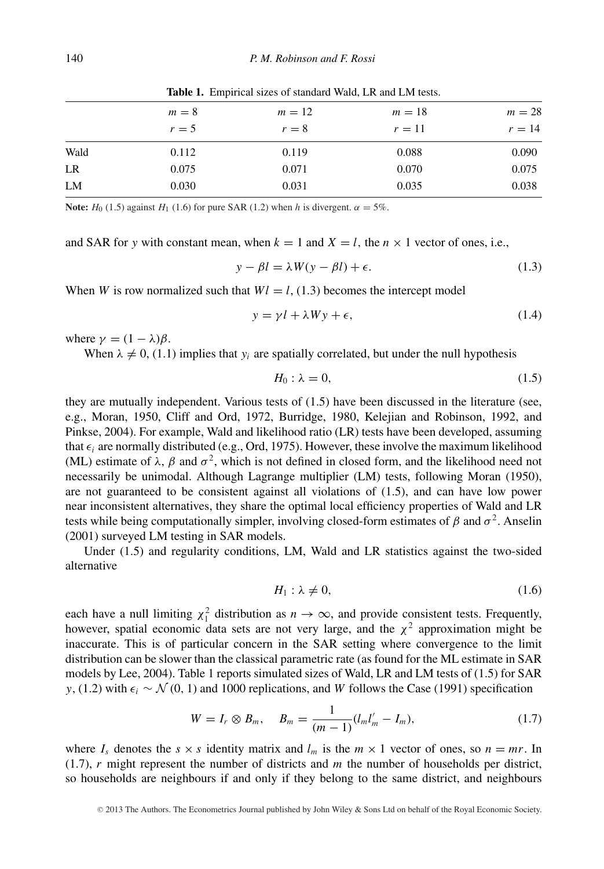|      |       | <b>Table 1.</b> Employee sizes of standard wald, ER and ENI tests. |        |        |  |  |  |  |
|------|-------|--------------------------------------------------------------------|--------|--------|--|--|--|--|
|      | $m=8$ | $m=12$                                                             | $m=18$ | $m=28$ |  |  |  |  |
|      | $r=5$ | $r=8$                                                              | $r=11$ | $r=14$ |  |  |  |  |
| Wald | 0.112 | 0.119                                                              | 0.088  | 0.090  |  |  |  |  |
| LR   | 0.075 | 0.071                                                              | 0.070  | 0.075  |  |  |  |  |
| LM   | 0.030 | 0.031                                                              | 0.035  | 0.038  |  |  |  |  |

Table 1. Empirical sizes of standard Wald, LD and LM tests.

**Note:**  $H_0$  (1.5) against  $H_1$  (1.6) for pure SAR (1.2) when *h* is divergent.  $\alpha = 5\%$ .

and SAR for *y* with constant mean, when  $k = 1$  and  $X = l$ , the  $n \times 1$  vector of ones, i.e.,

$$
y - \beta l = \lambda W(y - \beta l) + \epsilon. \tag{1.3}
$$

When *W* is row normalized such that  $Wl = l$ , (1.3) becomes the intercept model

$$
y = \gamma l + \lambda W y + \epsilon,\tag{1.4}
$$

where  $\gamma = (1 - \lambda)\beta$ .

When  $\lambda \neq 0$ , (1.1) implies that  $y_i$  are spatially correlated, but under the null hypothesis

$$
H_0: \lambda = 0,\tag{1.5}
$$

they are mutually independent. Various tests of (1.5) have been discussed in the literature (see, e.g., Moran, 1950, Cliff and Ord, 1972, Burridge, 1980, Kelejian and Robinson, 1992, and Pinkse, 2004). For example, Wald and likelihood ratio (LR) tests have been developed, assuming that  $\epsilon_i$  are normally distributed (e.g., Ord, 1975). However, these involve the maximum likelihood (ML) estimate of  $λ$ ,  $β$  and  $σ²$ , which is not defined in closed form, and the likelihood need not necessarily be unimodal. Although Lagrange multiplier (LM) tests, following Moran (1950), are not guaranteed to be consistent against all violations of (1.5), and can have low power near inconsistent alternatives, they share the optimal local efficiency properties of Wald and LR tests while being computationally simpler, involving closed-form estimates of  $\beta$  and  $\sigma^2$ . Anselin (2001) surveyed LM testing in SAR models.

Under (1.5) and regularity conditions, LM, Wald and LR statistics against the two-sided alternative

$$
H_1: \lambda \neq 0,\tag{1.6}
$$

each have a null limiting  $\chi_1^2$  distribution as  $n \to \infty$ , and provide consistent tests. Frequently, however, spatial economic data sets are not very large, and the *χ*<sup>2</sup> approximation might be inaccurate. This is of particular concern in the SAR setting where convergence to the limit distribution can be slower than the classical parametric rate (as found for the ML estimate in SAR models by Lee, 2004). Table 1 reports simulated sizes of Wald, LR and LM tests of (1.5) for SAR *y*, (1.2) with  $\epsilon$ <sub>*i*</sub> ∼  $\mathcal{N}(0, 1)$  and 1000 replications, and *W* follows the Case (1991) specification

$$
W = I_r \otimes B_m, \quad B_m = \frac{1}{(m-1)} (l_m l'_m - I_m), \tag{1.7}
$$

where  $I_s$  denotes the  $s \times s$  identity matrix and  $I_m$  is the  $m \times 1$  vector of ones, so  $n = mr$ . In (1.7), *r* might represent the number of districts and *m* the number of households per district, so households are neighbours if and only if they belong to the same district, and neighbours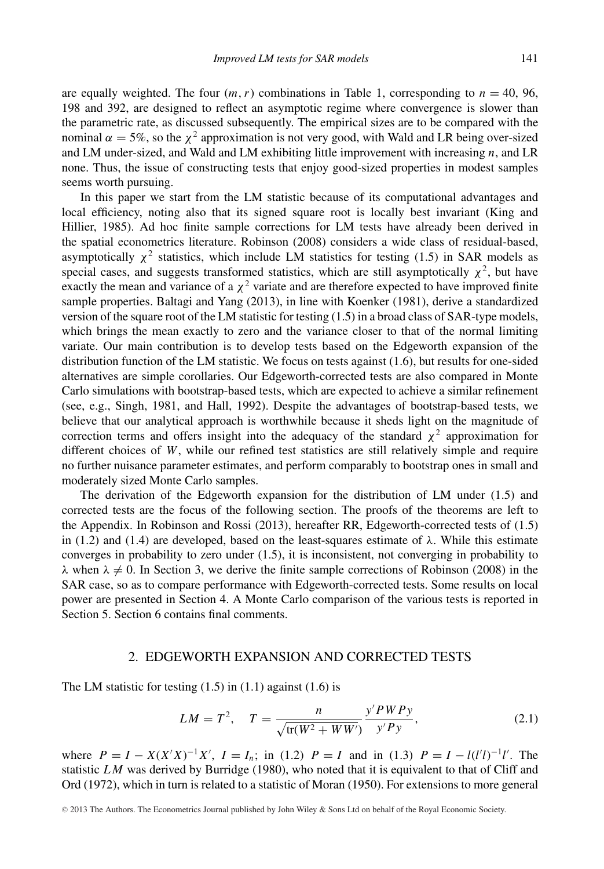are equally weighted. The four  $(m, r)$  combinations in Table 1, corresponding to  $n = 40, 96$ , 198 and 392, are designed to reflect an asymptotic regime where convergence is slower than the parametric rate, as discussed subsequently. The empirical sizes are to be compared with the nominal  $α = 5\%$ , so the  $χ²$  approximation is not very good, with Wald and LR being over-sized and LM under-sized, and Wald and LM exhibiting little improvement with increasing  $n$ , and LR none. Thus, the issue of constructing tests that enjoy good-sized properties in modest samples seems worth pursuing.

In this paper we start from the LM statistic because of its computational advantages and local efficiency, noting also that its signed square root is locally best invariant (King and Hillier, 1985). Ad hoc finite sample corrections for LM tests have already been derived in the spatial econometrics literature. Robinson (2008) considers a wide class of residual-based, asymptotically  $\chi^2$  statistics, which include LM statistics for testing (1.5) in SAR models as special cases, and suggests transformed statistics, which are still asymptotically  $\chi^2$ , but have exactly the mean and variance of a  $\chi^2$  variate and are therefore expected to have improved finite sample properties. Baltagi and Yang (2013), in line with Koenker (1981), derive a standardized version of the square root of the LM statistic for testing (1.5) in a broad class of SAR-type models, which brings the mean exactly to zero and the variance closer to that of the normal limiting variate. Our main contribution is to develop tests based on the Edgeworth expansion of the distribution function of the LM statistic. We focus on tests against (1.6), but results for one-sided alternatives are simple corollaries. Our Edgeworth-corrected tests are also compared in Monte Carlo simulations with bootstrap-based tests, which are expected to achieve a similar refinement (see, e.g., Singh, 1981, and Hall, 1992). Despite the advantages of bootstrap-based tests, we believe that our analytical approach is worthwhile because it sheds light on the magnitude of correction terms and offers insight into the adequacy of the standard  $\chi^2$  approximation for different choices of *W*, while our refined test statistics are still relatively simple and require no further nuisance parameter estimates, and perform comparably to bootstrap ones in small and moderately sized Monte Carlo samples.

The derivation of the Edgeworth expansion for the distribution of LM under (1.5) and corrected tests are the focus of the following section. The proofs of the theorems are left to the Appendix. In Robinson and Rossi (2013), hereafter RR, Edgeworth-corrected tests of (1.5) in (1.2) and (1.4) are developed, based on the least-squares estimate of  $λ$ . While this estimate converges in probability to zero under (1.5), it is inconsistent, not converging in probability to  $\lambda$  when  $\lambda \neq 0$ . In Section 3, we derive the finite sample corrections of Robinson (2008) in the SAR case, so as to compare performance with Edgeworth-corrected tests. Some results on local power are presented in Section 4. A Monte Carlo comparison of the various tests is reported in Section 5. Section 6 contains final comments.

#### 2. EDGEWORTH EXPANSION AND CORRECTED TESTS

The LM statistic for testing  $(1.5)$  in  $(1.1)$  against  $(1.6)$  is

$$
LM = T^2
$$
,  $T = \frac{n}{\sqrt{\text{tr}(W^2 + WW')}} \frac{y' P W P y}{y' P y}$ , (2.1)

where  $P = I - X(X/X)^{-1}X'$ ,  $I = I_n$ ; in (1.2)  $P = I$  and in (1.3)  $P = I - l(l'l)^{-1}l'$ . The statistic *LM* was derived by Burridge (1980), who noted that it is equivalent to that of Cliff and Ord (1972), which in turn is related to a statistic of Moran (1950). For extensions to more general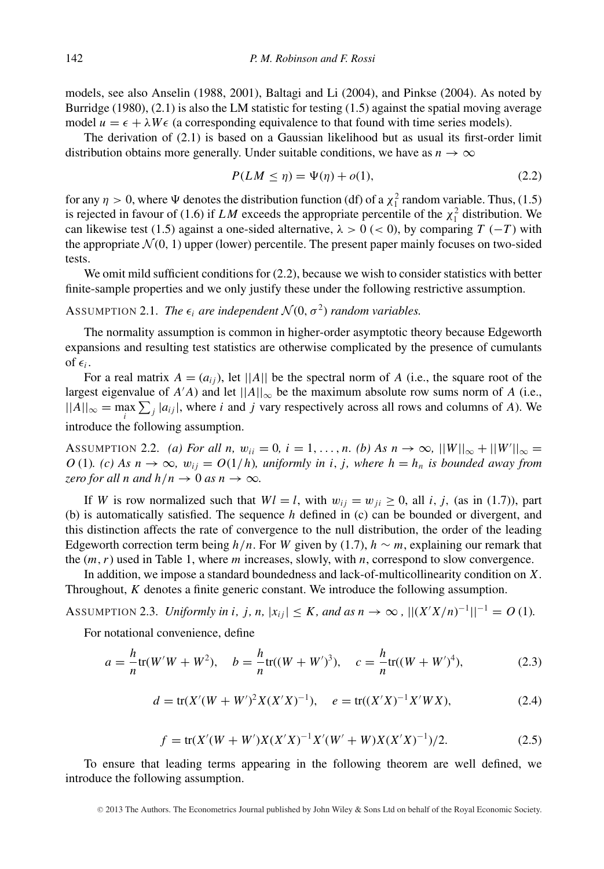models, see also Anselin (1988, 2001), Baltagi and Li (2004), and Pinkse (2004). As noted by Burridge (1980),  $(2.1)$  is also the LM statistic for testing  $(1.5)$  against the spatial moving average model  $u = \epsilon + \lambda W \epsilon$  (a corresponding equivalence to that found with time series models).

The derivation of (2.1) is based on a Gaussian likelihood but as usual its first-order limit distribution obtains more generally. Under suitable conditions, we have as  $n \to \infty$ 

$$
P(LM \le \eta) = \Psi(\eta) + o(1),\tag{2.2}
$$

for any  $\eta > 0$ , where  $\Psi$  denotes the distribution function (df) of a  $\chi_1^2$  random variable. Thus, (1.5) is rejected in favour of (1.6) if *LM* exceeds the appropriate percentile of the  $\chi_1^2$  distribution. We can likewise test (1.5) against a one-sided alternative,  $\lambda > 0$  (< 0), by comparing  $T(-T)$  with the appropriate  $\mathcal{N}(0, 1)$  upper (lower) percentile. The present paper mainly focuses on two-sided tests.

We omit mild sufficient conditions for  $(2.2)$ , because we wish to consider statistics with better finite-sample properties and we only justify these under the following restrictive assumption.

ASSUMPTION 2.1. *The*  $\epsilon_i$  *are independent*  $\mathcal{N}(0, \sigma^2)$  *random variables.* 

The normality assumption is common in higher-order asymptotic theory because Edgeworth expansions and resulting test statistics are otherwise complicated by the presence of cumulants of  $\epsilon_i$ .

For a real matrix  $A = (a_{ij})$ , let  $||A||$  be the spectral norm of A (i.e., the square root of the largest eigenvalue of  $A'A$ ) and let  $||A||_{\infty}$  be the maximum absolute row sums norm of *A* (i.e.,  $||A||_{\infty} = \max_{i} \sum_{j} |a_{ij}|$ , where *i* and *j* vary respectively across all rows and columns of *A*). We introduce the following assumption.

ASSUMPTION 2.2. *(a) For all n,*  $w_{ii} = 0$ ,  $i = 1, ..., n$ . *(b) As*  $n \to \infty$ ,  $||W||_{\infty} + ||W'||_{\infty} =$ *O* (1)*.* (*c*) As  $n \to \infty$ ,  $w_{ij} = O(1/h)$ , uniformly in *i*, *j*, where  $h = h_n$  is bounded away from *zero for all n and*  $h/n \rightarrow 0$  *as*  $n \rightarrow \infty$ *.* 

If *W* is row normalized such that  $Wl = l$ , with  $w_{ii} = w_{ii} \ge 0$ , all *i*, *j*, (as in (1.7)), part (b) is automatically satisfied. The sequence *h* defined in (c) can be bounded or divergent, and this distinction affects the rate of convergence to the null distribution, the order of the leading Edgeworth correction term being  $h/n$ . For *W* given by (1.7),  $h \sim m$ , explaining our remark that the (*m, r*) used in Table 1, where *m* increases, slowly, with *n*, correspond to slow convergence.

In addition, we impose a standard boundedness and lack-of-multicollinearity condition on *X*. Throughout, *K* denotes a finite generic constant. We introduce the following assumption.

ASSUMPTION 2.3. *Uniformly in i, j, n,*  $|x_{ij}| \leq K$ *, and as*  $n \to \infty$  ,  $||(X'X/n)^{-1}||^{-1} = O(1)$ *.* 

For notational convenience, define

$$
a = -\frac{h}{n}\text{tr}(W'W + W^2), \quad b = -\frac{h}{n}\text{tr}((W + W')^3), \quad c = -\frac{h}{n}\text{tr}((W + W')^4), \tag{2.3}
$$

$$
d = \text{tr}(X'(W+W')^{2}X(X'X)^{-1}), \quad e = \text{tr}((X'X)^{-1}X'WX), \tag{2.4}
$$

$$
f = \text{tr}(X'(W+W')X(X'X)^{-1}X'(W'+W)X(X'X)^{-1})/2.
$$
 (2.5)

To ensure that leading terms appearing in the following theorem are well defined, we introduce the following assumption.

<sup>C</sup> 2013 The Authors. The Econometrics Journal published by John Wiley & Sons Ltd on behalf of the Royal Economic Society.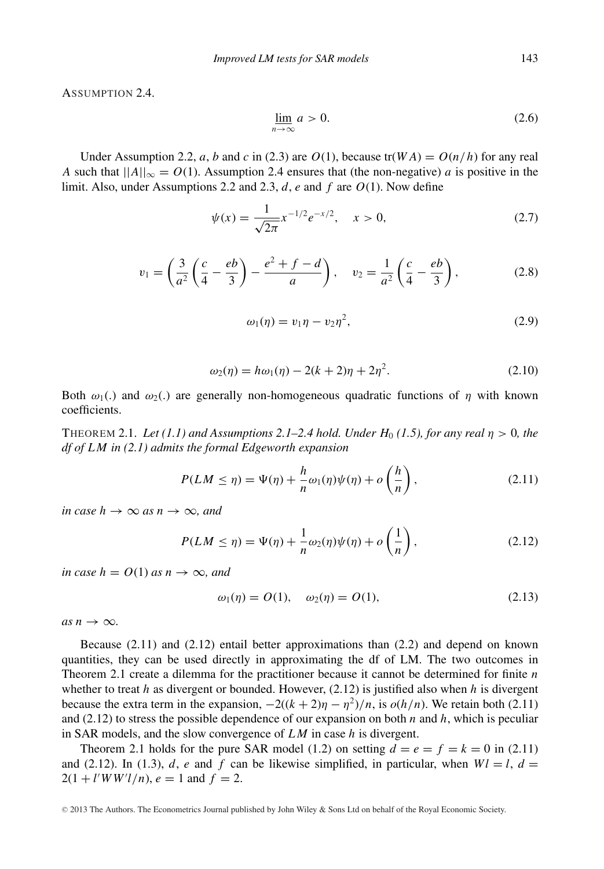ASSUMPTION 2.4

$$
\lim_{n \to \infty} a > 0. \tag{2.6}
$$

Under Assumption 2.2, *a*, *b* and *c* in (2.3) are *O*(1), because  $tr(WA) = O(n/h)$  for any real *A* such that  $||A||_{\infty} = O(1)$ . Assumption 2.4 ensures that (the non-negative) *a* is positive in the limit. Also, under Assumptions 2.2 and 2.3, *d*, *e* and *f* are *O*(1). Now define

$$
\psi(x) = \frac{1}{\sqrt{2\pi}} x^{-1/2} e^{-x/2}, \quad x > 0,
$$
\n(2.7)

$$
v_1 = \left(\frac{3}{a^2}\left(\frac{c}{4} - \frac{eb}{3}\right) - \frac{e^2 + f - d}{a}\right), \quad v_2 = \frac{1}{a^2}\left(\frac{c}{4} - \frac{eb}{3}\right),\tag{2.8}
$$

$$
\omega_1(\eta) = v_1 \eta - v_2 \eta^2, \qquad (2.9)
$$

$$
\omega_2(\eta) = h\omega_1(\eta) - 2(k+2)\eta + 2\eta^2. \tag{2.10}
$$

Both  $\omega_1$ (.) and  $\omega_2$ (.) are generally non-homogeneous quadratic functions of *η* with known coefficients.

THEOREM 2.1. Let  $(1.1)$  and Assumptions 2.1–2.4 hold. Under  $H_0$  (1.5), for any real  $\eta > 0$ , the *df of LM in (2.1) admits the formal Edgeworth expansion*

$$
P(LM \le \eta) = \Psi(\eta) + \frac{h}{n}\omega_1(\eta)\psi(\eta) + o\left(\frac{h}{n}\right),\tag{2.11}
$$

*in case*  $h \to \infty$  *as*  $n \to \infty$ *, and* 

$$
P(LM \le \eta) = \Psi(\eta) + \frac{1}{n}\omega_2(\eta)\psi(\eta) + o\left(\frac{1}{n}\right),\tag{2.12}
$$

*in case*  $h = O(1)$  *as*  $n \rightarrow \infty$ *, and* 

$$
\omega_1(\eta) = O(1), \quad \omega_2(\eta) = O(1), \tag{2.13}
$$

 $as n \rightarrow \infty$ .

Because (2.11) and (2.12) entail better approximations than (2.2) and depend on known quantities, they can be used directly in approximating the df of LM. The two outcomes in Theorem 2.1 create a dilemma for the practitioner because it cannot be determined for finite *n* whether to treat *h* as divergent or bounded. However, (2.12) is justified also when *h* is divergent because the extra term in the expansion,  $-2((k+2)\eta - \eta^2)/n$ , is  $o(h/n)$ . We retain both (2.11) and (2.12) to stress the possible dependence of our expansion on both *n* and *h*, which is peculiar in SAR models, and the slow convergence of *LM* in case *h* is divergent.

Theorem 2.1 holds for the pure SAR model (1.2) on setting  $d = e = f = k = 0$  in (2.11) and (2.12). In (1.3), *d*, *e* and *f* can be likewise simplified, in particular, when  $Wl = l$ ,  $d =$  $2(1 + l'WW'l/n), e = 1$  and  $f = 2$ .

<sup>C</sup> 2013 The Authors. The Econometrics Journal published by John Wiley & Sons Ltd on behalf of the Royal Economic Society.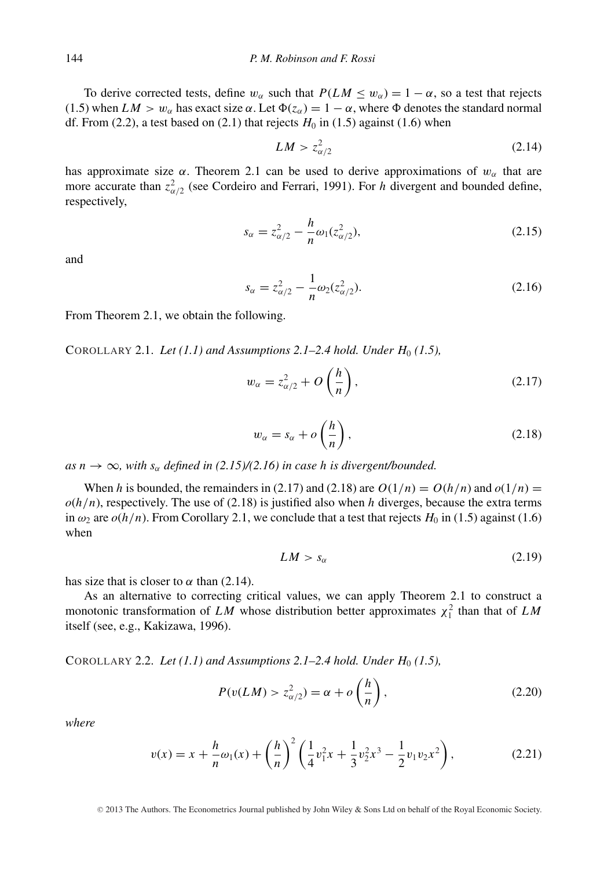To derive corrected tests, define  $w_\alpha$  such that  $P(LM \leq w_\alpha) = 1 - \alpha$ , so a test that rejects (1.5) when  $LM > w_\alpha$  has exact size  $\alpha$ . Let  $\Phi(z_\alpha) = 1 - \alpha$ , where  $\Phi$  denotes the standard normal df. From (2.2), a test based on (2.1) that rejects  $H_0$  in (1.5) against (1.6) when

$$
LM > z_{\alpha/2}^2 \tag{2.14}
$$

has approximate size  $\alpha$ . Theorem 2.1 can be used to derive approximations of  $w_{\alpha}$  that are more accurate than  $z_{\alpha/2}^2$  (see Cordeiro and Ferrari, 1991). For *h* divergent and bounded define, respectively,

$$
s_{\alpha} = z_{\alpha/2}^2 - \frac{h}{n}\omega_1(z_{\alpha/2}^2),
$$
 (2.15)

and

$$
s_{\alpha} = z_{\alpha/2}^2 - \frac{1}{n} \omega_2 (z_{\alpha/2}^2). \tag{2.16}
$$

From Theorem 2.1, we obtain the following.

COROLLARY 2.1. *Let*  $(1.1)$  and Assumptions 2.1–2.4 hold. Under  $H_0(1.5)$ ,

$$
w_{\alpha} = z_{\alpha/2}^2 + O\left(\frac{h}{n}\right),\tag{2.17}
$$

$$
w_{\alpha} = s_{\alpha} + o\left(\frac{h}{n}\right),\tag{2.18}
$$

 $as n \rightarrow \infty$ , with  $s_{\alpha}$  *defined in (2.15)/(2.16) in case h is divergent/bounded.* 

When *h* is bounded, the remainders in (2.17) and (2.18) are  $O(1/n) = O(h/n)$  and  $o(1/n) =$  $o(h/n)$ , respectively. The use of (2.18) is justified also when *h* diverges, because the extra terms in  $\omega_2$  are  $o(h/n)$ . From Corollary 2.1, we conclude that a test that rejects  $H_0$  in (1.5) against (1.6) when

$$
LM > s_{\alpha} \tag{2.19}
$$

has size that is closer to  $\alpha$  than (2.14).

As an alternative to correcting critical values, we can apply Theorem 2.1 to construct a monotonic transformation of *LM* whose distribution better approximates  $\chi_1^2$  than that of *LM* itself (see, e.g., Kakizawa, 1996).

COROLLARY 2.2. *Let (1.1) and Assumptions 2.1–2.4 hold. Under H*<sup>0</sup> *(1.5),*

$$
P(v(LM) > z_{\alpha/2}^2) = \alpha + o\left(\frac{h}{n}\right),\tag{2.20}
$$

*where*

$$
v(x) = x + \frac{h}{n}\omega_1(x) + \left(\frac{h}{n}\right)^2 \left(\frac{1}{4}v_1^2 x + \frac{1}{3}v_2^2 x^3 - \frac{1}{2}v_1 v_2 x^2\right),\tag{2.21}
$$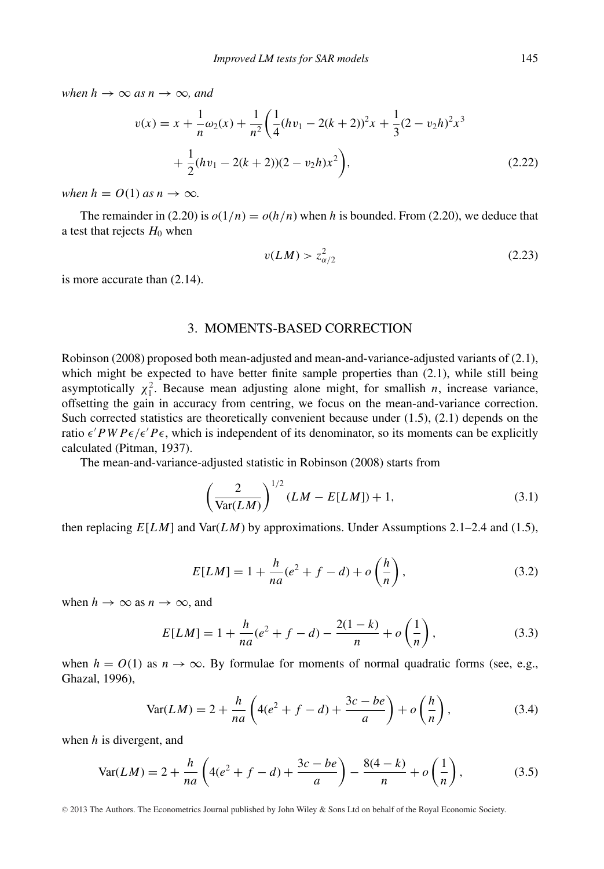*when*  $h \to \infty$  *as*  $n \to \infty$ *, and* 

$$
v(x) = x + \frac{1}{n}\omega_2(x) + \frac{1}{n^2} \left( \frac{1}{4} (hv_1 - 2(k+2))^2 x + \frac{1}{3} (2 - v_2 h)^2 x^3 + \frac{1}{2} (hv_1 - 2(k+2))(2 - v_2 h) x^2 \right),
$$
\n(2.22)

*when*  $h = O(1)$  *as*  $n \to \infty$ *.* 

The remainder in (2.20) is  $o(1/n) = o(h/n)$  when *h* is bounded. From (2.20), we deduce that a test that rejects  $H_0$  when

$$
v(LM) > z_{\alpha/2}^2 \tag{2.23}
$$

is more accurate than (2.14).

#### 3. MOMENTS-BASED CORRECTION

Robinson (2008) proposed both mean-adjusted and mean-and-variance-adjusted variants of (2.1), which might be expected to have better finite sample properties than  $(2.1)$ , while still being asymptotically  $\chi_1^2$ . Because mean adjusting alone might, for smallish *n*, increase variance, offsetting the gain in accuracy from centring, we focus on the mean-and-variance correction. Such corrected statistics are theoretically convenient because under (1.5), (2.1) depends on the ratio  $\epsilon' P W P \epsilon / \epsilon' P \epsilon$ , which is independent of its denominator, so its moments can be explicitly calculated (Pitman, 1937).

The mean-and-variance-adjusted statistic in Robinson (2008) starts from

$$
\left(\frac{2}{\text{Var}(LM)}\right)^{1/2} (LM - E[LM]) + 1,\tag{3.1}
$$

then replacing  $E[LM]$  and  $Var(LM)$  by approximations. Under Assumptions 2.1–2.4 and (1.5),

$$
E[LM] = 1 + \frac{h}{na}(e^2 + f - d) + o\left(\frac{h}{n}\right),
$$
\n(3.2)

when  $h \to \infty$  as  $n \to \infty$ , and

$$
E[LM] = 1 + \frac{h}{na}(e^2 + f - d) - \frac{2(1 - k)}{n} + o\left(\frac{1}{n}\right),\tag{3.3}
$$

when  $h = O(1)$  as  $n \to \infty$ . By formulae for moments of normal quadratic forms (see, e.g., Ghazal, 1996),

$$
\text{Var}(LM) = 2 + \frac{h}{na} \left( 4(e^2 + f - d) + \frac{3c - be}{a} \right) + o\left(\frac{h}{n}\right),\tag{3.4}
$$

when *h* is divergent, and

$$
\text{Var}(LM) = 2 + \frac{h}{na} \left( 4(e^2 + f - d) + \frac{3c - be}{a} \right) - \frac{8(4 - k)}{n} + o\left(\frac{1}{n}\right),\tag{3.5}
$$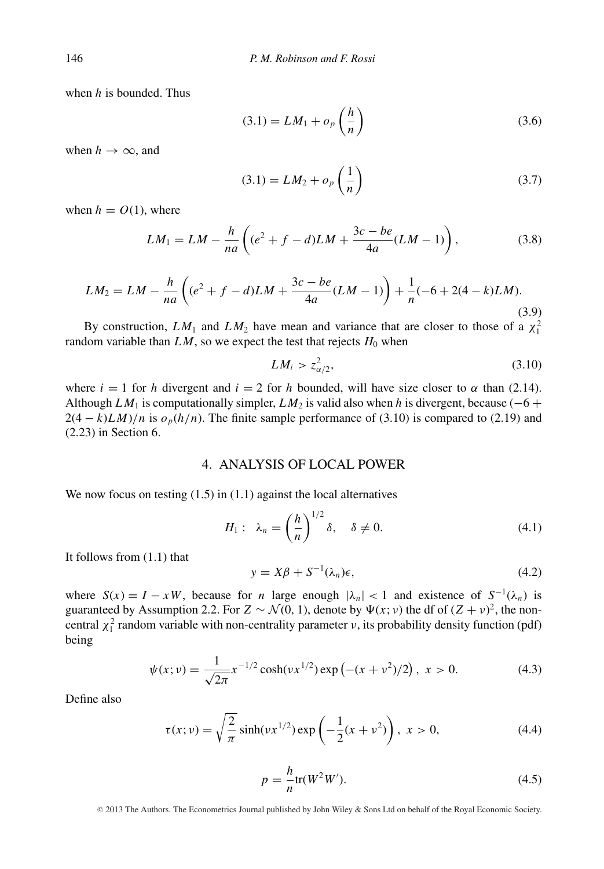when *h* is bounded. Thus

$$
(3.1) = LM_1 + o_p\left(\frac{h}{n}\right) \tag{3.6}
$$

when  $h \to \infty$ , and

$$
(3.1) = LM_2 + o_p\left(\frac{1}{n}\right) \tag{3.7}
$$

when  $h = O(1)$ , where

$$
LM_1 = LM - \frac{h}{na} \left( (e^2 + f - d)LM + \frac{3c - be}{4a} (LM - 1) \right),
$$
 (3.8)

$$
LM_2 = LM - \frac{h}{na} \left( (e^2 + f - d)LM + \frac{3c - be}{4a} (LM - 1) \right) + \frac{1}{n} (-6 + 2(4 - k)LM).
$$
\n(3.9)

By construction,  $LM_1$  and  $LM_2$  have mean and variance that are closer to those of a  $\chi_1^2$ random variable than  $LM$ , so we expect the test that rejects  $H_0$  when

$$
LM_i > z_{\alpha/2}^2,\tag{3.10}
$$

where  $i = 1$  for *h* divergent and  $i = 2$  for *h* bounded, will have size closer to  $\alpha$  than (2.14). Although *LM*<sub>1</sub> is computationally simpler, *LM*<sub>2</sub> is valid also when *h* is divergent, because (−6 +  $2(4 - k)LM$ /*n* is  $o_p(h/n)$ . The finite sample performance of (3.10) is compared to (2.19) and (2.23) in Section 6.

#### 4. ANALYSIS OF LOCAL POWER

We now focus on testing  $(1.5)$  in  $(1.1)$  against the local alternatives

$$
H_1: \ \lambda_n = \left(\frac{h}{n}\right)^{1/2} \delta, \quad \delta \neq 0. \tag{4.1}
$$

It follows from (1.1) that

$$
y = X\beta + S^{-1}(\lambda_n)\epsilon,\tag{4.2}
$$

where  $S(x) = I - xW$ , because for *n* large enough  $|\lambda_n| < 1$  and existence of  $S^{-1}(\lambda_n)$  is guaranteed by Assumption 2.2. For  $Z \sim \mathcal{N}(0, 1)$ , denote by  $\Psi(x; v)$  the df of  $(Z + v)^2$ , the noncentral  $\chi_1^2$  random variable with non-centrality parameter *ν*, its probability density function (pdf) being

$$
\psi(x; v) = \frac{1}{\sqrt{2\pi}} x^{-1/2} \cosh(v x^{1/2}) \exp(-(x + v^2)/2), \ x > 0.
$$
 (4.3)

Define also

$$
\tau(x; v) = \sqrt{\frac{2}{\pi}} \sinh(v x^{1/2}) \exp\left(-\frac{1}{2}(x + v^2)\right), \ x > 0,
$$
 (4.4)

$$
p = -\frac{h}{n}\text{tr}(W^2W').
$$
\n(4.5)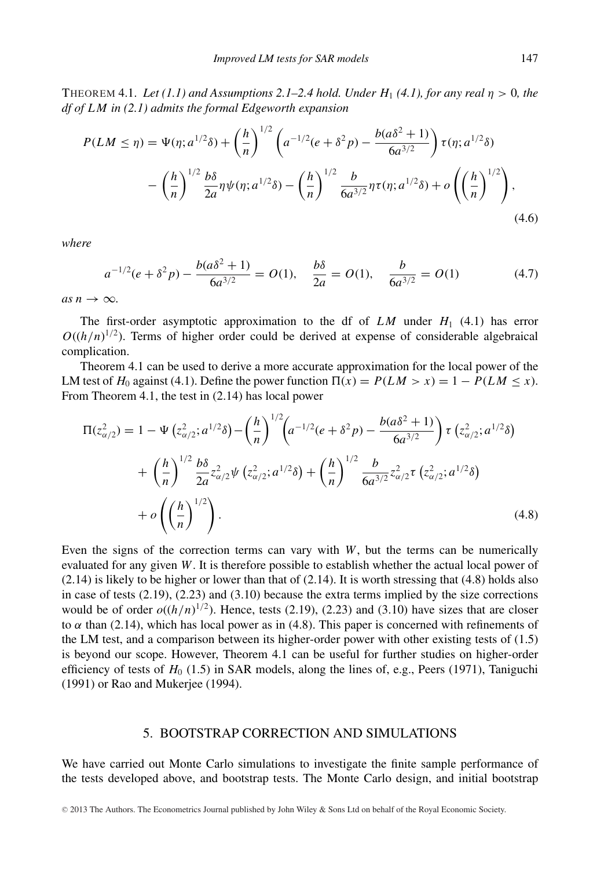THEOREM 4.1. Let  $(1.1)$  and Assumptions 2.1–2.4 hold. Under  $H_1$  (4.1), for any real  $\eta > 0$ , the *df of LM in (2.1) admits the formal Edgeworth expansion*

$$
P(LM \le \eta) = \Psi(\eta; a^{1/2}\delta) + \left(\frac{h}{n}\right)^{1/2} \left(a^{-1/2}(e + \delta^2 p) - \frac{b(a\delta^2 + 1)}{6a^{3/2}}\right) \tau(\eta; a^{1/2}\delta) - \left(\frac{h}{n}\right)^{1/2} \frac{b\delta}{2a} \eta \psi(\eta; a^{1/2}\delta) - \left(\frac{h}{n}\right)^{1/2} \frac{b}{6a^{3/2}} \eta \tau(\eta; a^{1/2}\delta) + o\left(\left(\frac{h}{n}\right)^{1/2}\right),
$$
\n(4.6)

*where*

$$
a^{-1/2}(e + \delta^2 p) - \frac{b(a\delta^2 + 1)}{6a^{3/2}} = O(1), \quad \frac{b\delta}{2a} = O(1), \quad \frac{b}{6a^{3/2}} = O(1) \tag{4.7}
$$

 $as n \rightarrow \infty$ .

The first-order asymptotic approximation to the df of  $LM$  under  $H_1$  (4.1) has error  $O((h/n)^{1/2})$ . Terms of higher order could be derived at expense of considerable algebraical complication.

Theorem 4.1 can be used to derive a more accurate approximation for the local power of the LM test of  $H_0$  against (4.1). Define the power function  $\Pi(x) = P(LM > x) = 1 - P(LM < x)$ . From Theorem 4.1, the test in (2.14) has local power

$$
\Pi(z_{\alpha/2}^2) = 1 - \Psi(z_{\alpha/2}^2; a^{1/2}\delta) - \left(\frac{h}{n}\right)^{1/2} \left(a^{-1/2}(e + \delta^2 p) - \frac{b(a\delta^2 + 1)}{6a^{3/2}}\right) \tau(z_{\alpha/2}^2; a^{1/2}\delta) + \left(\frac{h}{n}\right)^{1/2} \frac{b\delta}{2a} z_{\alpha/2}^2 \Psi(z_{\alpha/2}^2; a^{1/2}\delta) + \left(\frac{h}{n}\right)^{1/2} \frac{b}{6a^{3/2}} z_{\alpha/2}^2 \tau(z_{\alpha/2}^2; a^{1/2}\delta) + o\left(\left(\frac{h}{n}\right)^{1/2}\right).
$$
\n(4.8)

Even the signs of the correction terms can vary with *W*, but the terms can be numerically evaluated for any given *W*. It is therefore possible to establish whether the actual local power of (2.14) is likely to be higher or lower than that of (2.14). It is worth stressing that (4.8) holds also in case of tests (2.19), (2.23) and (3.10) because the extra terms implied by the size corrections would be of order  $o((h/n)^{1/2})$ . Hence, tests (2.19), (2.23) and (3.10) have sizes that are closer to  $\alpha$  than (2.14), which has local power as in (4.8). This paper is concerned with refinements of the LM test, and a comparison between its higher-order power with other existing tests of (1.5) is beyond our scope. However, Theorem 4.1 can be useful for further studies on higher-order efficiency of tests of *H*<sup>0</sup> (1.5) in SAR models, along the lines of, e.g., Peers (1971), Taniguchi (1991) or Rao and Mukerjee (1994).

#### 5. BOOTSTRAP CORRECTION AND SIMULATIONS

We have carried out Monte Carlo simulations to investigate the finite sample performance of the tests developed above, and bootstrap tests. The Monte Carlo design, and initial bootstrap

<sup>C</sup> 2013 The Authors. The Econometrics Journal published by John Wiley & Sons Ltd on behalf of the Royal Economic Society.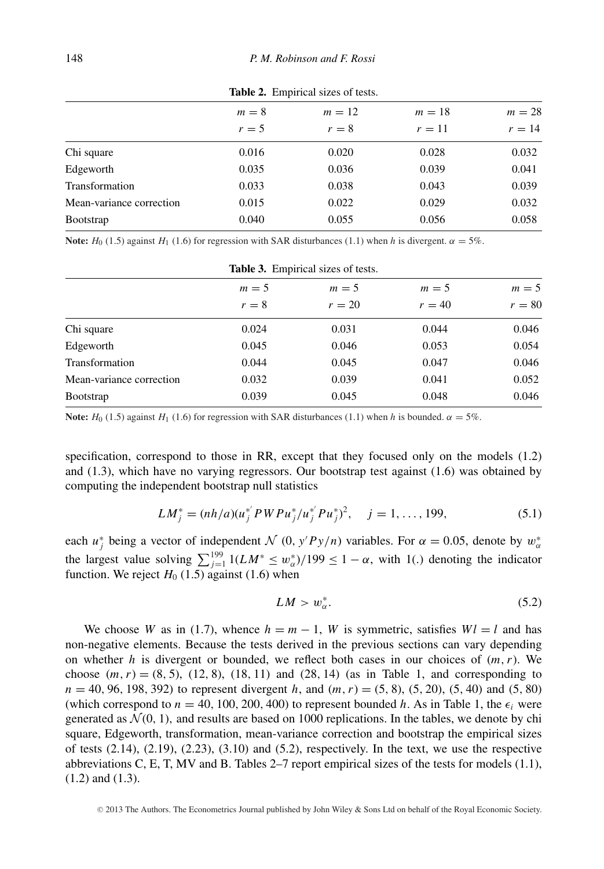|                          | $m=8$<br>$r=5$ | $m=12$<br>$r=8$ | $m=18$<br>$r=11$ | $m = 28$<br>$r=14$ |
|--------------------------|----------------|-----------------|------------------|--------------------|
| Chi square               | 0.016          | 0.020           | 0.028            | 0.032              |
| Edgeworth                | 0.035          | 0.036           | 0.039            | 0.041              |
| Transformation           | 0.033          | 0.038           | 0.043            | 0.039              |
| Mean-variance correction | 0.015          | 0.022           | 0.029            | 0.032              |
| <b>Bootstrap</b>         | 0.040          | 0.055           | 0.056            | 0.058              |
|                          |                |                 |                  |                    |

**Table 2.** Empirical sizes of tests.

**Note:**  $H_0$  (1.5) against  $H_1$  (1.6) for regression with SAR disturbances (1.1) when *h* is divergent.  $\alpha = 5\%$ .

| <b>Table 3.</b> Empirical sizes of tests. |       |        |          |          |  |  |
|-------------------------------------------|-------|--------|----------|----------|--|--|
|                                           | $m=5$ | $m=5$  | $m=5$    | $m=5$    |  |  |
|                                           | $r=8$ | $r=20$ | $r = 40$ | $r = 80$ |  |  |
| Chi square                                | 0.024 | 0.031  | 0.044    | 0.046    |  |  |
| Edgeworth                                 | 0.045 | 0.046  | 0.053    | 0.054    |  |  |
| Transformation                            | 0.044 | 0.045  | 0.047    | 0.046    |  |  |
| Mean-variance correction                  | 0.032 | 0.039  | 0.041    | 0.052    |  |  |
| <b>Bootstrap</b>                          | 0.039 | 0.045  | 0.048    | 0.046    |  |  |

**Note:**  $H_0$  (1.5) against  $H_1$  (1.6) for regression with SAR disturbances (1.1) when *h* is bounded.  $\alpha = 5\%$ .

specification, correspond to those in RR, except that they focused only on the models (1.2) and (1.3), which have no varying regressors. Our bootstrap test against (1.6) was obtained by computing the independent bootstrap null statistics

$$
LM_j^* = (nh/a)(u_j^* PWPu_j^*/u_j^* P u_j^*)^2, \quad j = 1, ..., 199,
$$
\n(5.1)

each  $u_j^*$  being a vector of independent  $\mathcal N$  (0*, y'Py/n*) variables. For  $\alpha = 0.05$ , denote by  $w_\alpha^*$ the largest value solving  $\sum_{j=1}^{199} 1(LM^* \leq w^*_{\alpha})/199 \leq 1 - \alpha$ , with 1(*.*) denoting the indicator function. We reject  $H_0$  (1.5) against (1.6) when

$$
LM > w_{\alpha}^*.\tag{5.2}
$$

We choose *W* as in (1.7), whence  $h = m - 1$ , *W* is symmetric, satisfies  $Wl = l$  and has non-negative elements. Because the tests derived in the previous sections can vary depending on whether  $h$  is divergent or bounded, we reflect both cases in our choices of  $(m, r)$ . We choose  $(m, r) = (8, 5)$ ,  $(12, 8)$ ,  $(18, 11)$  and  $(28, 14)$  (as in Table 1, and corresponding to *<sup>n</sup>* <sup>=</sup> <sup>40</sup>*,* <sup>96</sup>*,* <sup>198</sup>*,* 392) to represent divergent *<sup>h</sup>*, and (*m, r*) <sup>=</sup> (5*,* 8), (5*,* 20), (5*,* 40) and (5*,* 80) (which correspond to  $n = 40$ , 100, 200, 400) to represent bounded *h*. As in Table 1, the  $\epsilon_i$  were generated as  $\mathcal{N}(0, 1)$ , and results are based on 1000 replications. In the tables, we denote by chi square, Edgeworth, transformation, mean-variance correction and bootstrap the empirical sizes of tests  $(2.14)$ ,  $(2.19)$ ,  $(2.23)$ ,  $(3.10)$  and  $(5.2)$ , respectively. In the text, we use the respective abbreviations C, E, T, MV and B. Tables 2–7 report empirical sizes of the tests for models (1.1), (1.2) and (1.3).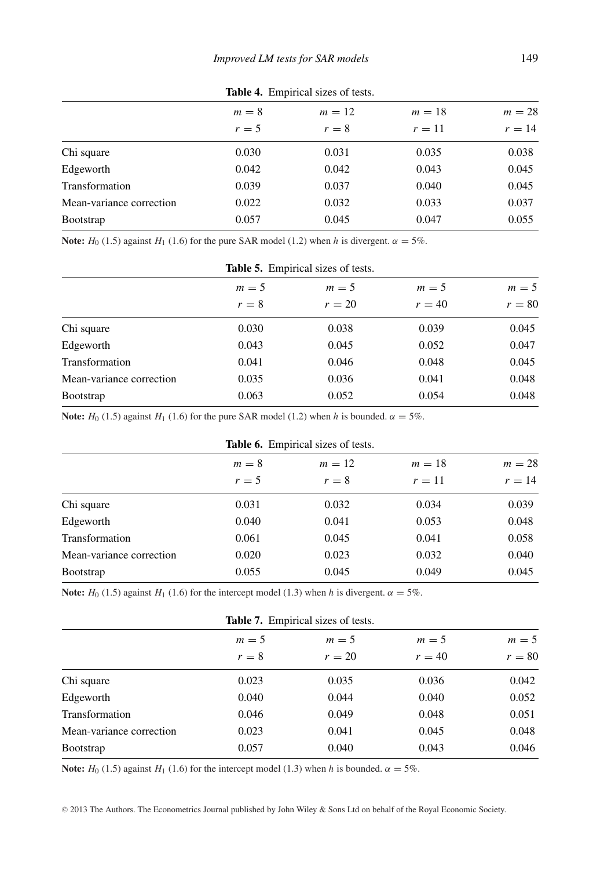|                          | $m=8$<br>$r=5$ | $m=12$<br>$r=8$ | $m=18$<br>$r=11$ | $m=28$<br>$r=14$ |
|--------------------------|----------------|-----------------|------------------|------------------|
| Chi square               | 0.030          | 0.031           | 0.035            | 0.038            |
| Edgeworth                | 0.042          | 0.042           | 0.043            | 0.045            |
| Transformation           | 0.039          | 0.037           | 0.040            | 0.045            |
| Mean-variance correction | 0.022          | 0.032           | 0.033            | 0.037            |
| <b>B</b> ootstrap        | 0.057          | 0.045           | 0.047            | 0.055            |

**Table 4.** Empirical sizes of tests.

**Note:**  $H_0$  (1.5) against  $H_1$  (1.6) for the pure SAR model (1.2) when *h* is divergent.  $\alpha = 5\%$ .

| <b>Table 5.</b> Empirical sizes of tests. |       |        |          |          |  |  |
|-------------------------------------------|-------|--------|----------|----------|--|--|
|                                           | $m=5$ | $m=5$  |          | $m=5$    |  |  |
|                                           | $r=8$ | $r=20$ | $r = 40$ | $r = 80$ |  |  |
| Chi square                                | 0.030 | 0.038  | 0.039    | 0.045    |  |  |
| Edgeworth                                 | 0.043 | 0.045  | 0.052    | 0.047    |  |  |
| Transformation                            | 0.041 | 0.046  | 0.048    | 0.045    |  |  |
| Mean-variance correction                  | 0.035 | 0.036  | 0.041    | 0.048    |  |  |
| <b>B</b> ootstrap                         | 0.063 | 0.052  | 0.054    | 0.048    |  |  |

**Note:**  $H_0$  (1.5) against  $H_1$  (1.6) for the pure SAR model (1.2) when *h* is bounded.  $\alpha = 5\%$ .

| <b>Table 6.</b> Empirical sizes of tests. |       |          |        |        |  |
|-------------------------------------------|-------|----------|--------|--------|--|
|                                           | $m=8$ | $m = 12$ |        | $m=28$ |  |
|                                           | $r=5$ | $r=8$    | $r=11$ | $r=14$ |  |
| Chi square                                | 0.031 | 0.032    | 0.034  | 0.039  |  |
| Edgeworth                                 | 0.040 | 0.041    | 0.053  | 0.048  |  |
| Transformation                            | 0.061 | 0.045    | 0.041  | 0.058  |  |
| Mean-variance correction                  | 0.020 | 0.023    | 0.032  | 0.040  |  |
| <b>Bootstrap</b>                          | 0.055 | 0.045    | 0.049  | 0.045  |  |

**Note:**  $H_0$  (1.5) against  $H_1$  (1.6) for the intercept model (1.3) when *h* is divergent.  $\alpha = 5\%$ .

| <b>Table 7.</b> Empirical sizes of tests. |       |        |          |          |  |
|-------------------------------------------|-------|--------|----------|----------|--|
|                                           | $m=5$ | $m=5$  | $m = 5$  | $m = 5$  |  |
|                                           | $r=8$ | $r=20$ | $r = 40$ | $r = 80$ |  |
| Chi square                                | 0.023 | 0.035  | 0.036    | 0.042    |  |
| Edgeworth                                 | 0.040 | 0.044  | 0.040    | 0.052    |  |
| Transformation                            | 0.046 | 0.049  | 0.048    | 0.051    |  |
| Mean-variance correction                  | 0.023 | 0.041  | 0.045    | 0.048    |  |
| <b>B</b> ootstrap                         | 0.057 | 0.040  | 0.043    | 0.046    |  |

**Note:**  $H_0$  (1.5) against  $H_1$  (1.6) for the intercept model (1.3) when *h* is bounded.  $\alpha = 5\%$ .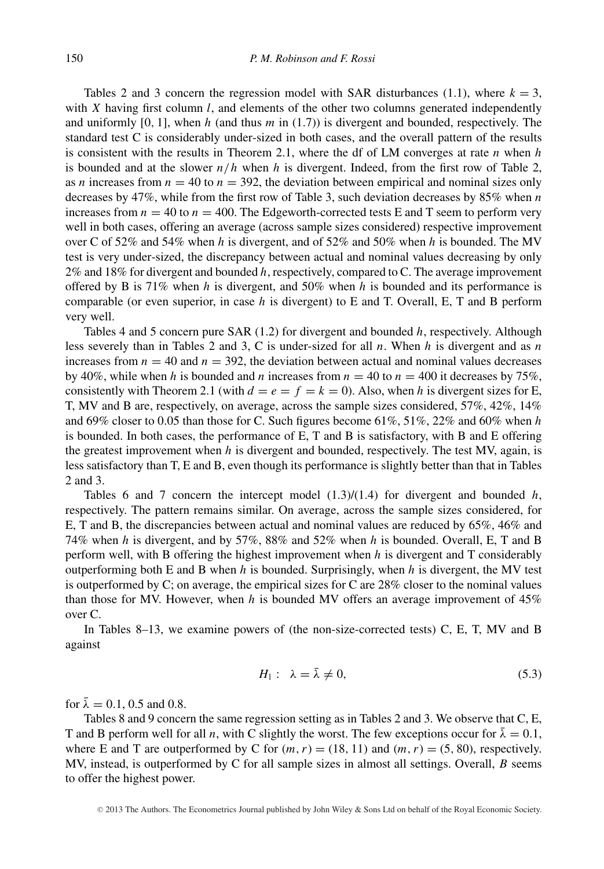Tables 2 and 3 concern the regression model with SAR disturbances (1.1), where  $k = 3$ , with *X* having first column *l*, and elements of the other two columns generated independently and uniformly [0*,* 1], when *h* (and thus *m* in (1.7)) is divergent and bounded, respectively. The standard test C is considerably under-sized in both cases, and the overall pattern of the results is consistent with the results in Theorem 2.1, where the df of LM converges at rate *n* when *h* is bounded and at the slower  $n/h$  when  $h$  is divergent. Indeed, from the first row of Table 2, as *n* increases from  $n = 40$  to  $n = 392$ , the deviation between empirical and nominal sizes only decreases by 47%, while from the first row of Table 3, such deviation decreases by 85% when *n* increases from  $n = 40$  to  $n = 400$ . The Edgeworth-corrected tests E and T seem to perform very well in both cases, offering an average (across sample sizes considered) respective improvement over C of 52% and 54% when *h* is divergent, and of 52% and 50% when *h* is bounded. The MV test is very under-sized, the discrepancy between actual and nominal values decreasing by only 2% and 18% for divergent and bounded *h*, respectively, compared to C. The average improvement offered by B is 71% when *h* is divergent, and 50% when *h* is bounded and its performance is comparable (or even superior, in case *h* is divergent) to E and T. Overall, E, T and B perform very well.

Tables 4 and 5 concern pure SAR (1.2) for divergent and bounded *h*, respectively. Although less severely than in Tables 2 and 3, C is under-sized for all *n*. When *h* is divergent and as *n* increases from  $n = 40$  and  $n = 392$ , the deviation between actual and nominal values decreases by 40%, while when *h* is bounded and *n* increases from  $n = 40$  to  $n = 400$  it decreases by 75%, consistently with Theorem 2.1 (with  $d = e = f = k = 0$ ). Also, when h is divergent sizes for E, T, MV and B are, respectively, on average, across the sample sizes considered, 57%, 42%, 14% and 69% closer to 0*.*05 than those for C. Such figures become 61%, 51%, 22% and 60% when *h* is bounded. In both cases, the performance of E, T and B is satisfactory, with B and E offering the greatest improvement when *h* is divergent and bounded, respectively. The test MV, again, is less satisfactory than T, E and B, even though its performance is slightly better than that in Tables 2 and 3.

Tables 6 and 7 concern the intercept model  $(1.3)/(1.4)$  for divergent and bounded *h*, respectively. The pattern remains similar. On average, across the sample sizes considered, for E, T and B, the discrepancies between actual and nominal values are reduced by 65%, 46% and 74% when *h* is divergent, and by 57%, 88% and 52% when *h* is bounded. Overall, E, T and B perform well, with B offering the highest improvement when *h* is divergent and T considerably outperforming both E and B when *h* is bounded. Surprisingly, when *h* is divergent, the MV test is outperformed by C; on average, the empirical sizes for C are 28% closer to the nominal values than those for MV. However, when *h* is bounded MV offers an average improvement of 45% over C.

In Tables 8–13, we examine powers of (the non-size-corrected tests) C, E, T, MV and B against

$$
H_1: \ \lambda = \bar{\lambda} \neq 0,\tag{5.3}
$$

for  $\bar{\lambda} = 0.1, 0.5$  and 0.8.

Tables 8 and 9 concern the same regression setting as in Tables 2 and 3. We observe that C, E, T and B perform well for all *n*, with C slightly the worst. The few exceptions occur for  $\bar{\lambda} = 0.1$ , where E and T are outperformed by C for  $(m, r) = (18, 11)$  and  $(m, r) = (5, 80)$ , respectively. MV, instead, is outperformed by C for all sample sizes in almost all settings. Overall, *B* seems to offer the highest power.

<sup>C</sup> 2013 The Authors. The Econometrics Journal published by John Wiley & Sons Ltd on behalf of the Royal Economic Society.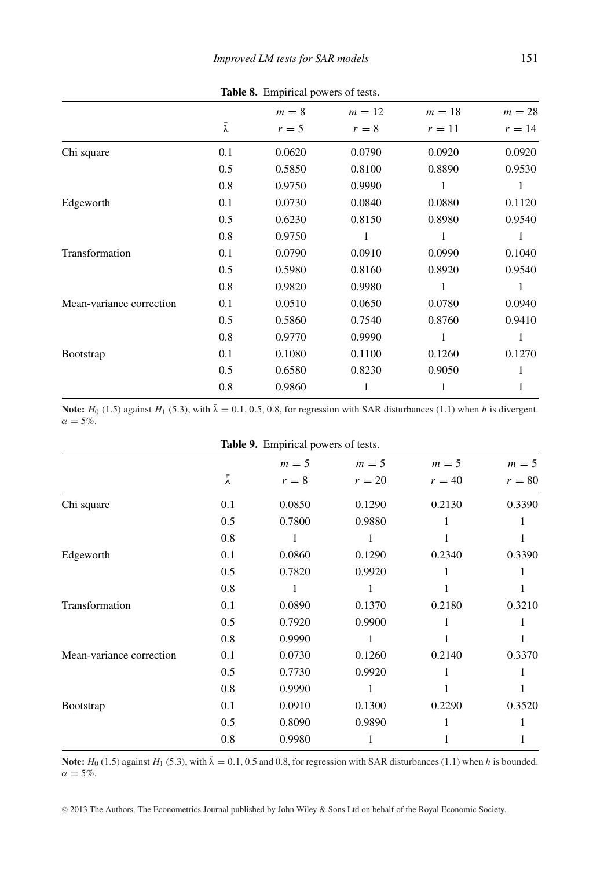|                          |                 | $m=8$  | $m=12$ | $m=18$ | $m=28$ |
|--------------------------|-----------------|--------|--------|--------|--------|
|                          | $\bar{\lambda}$ | $r=5$  | $r=8$  | $r=11$ | $r=14$ |
| Chi square               | 0.1             | 0.0620 | 0.0790 | 0.0920 | 0.0920 |
|                          | 0.5             | 0.5850 | 0.8100 | 0.8890 | 0.9530 |
|                          | 0.8             | 0.9750 | 0.9990 | 1      | 1      |
| Edgeworth                | 0.1             | 0.0730 | 0.0840 | 0.0880 | 0.1120 |
|                          | 0.5             | 0.6230 | 0.8150 | 0.8980 | 0.9540 |
|                          | 0.8             | 0.9750 |        |        | 1      |
| Transformation           | 0.1             | 0.0790 | 0.0910 | 0.0990 | 0.1040 |
|                          | 0.5             | 0.5980 | 0.8160 | 0.8920 | 0.9540 |
|                          | 0.8             | 0.9820 | 0.9980 | 1      | 1      |
| Mean-variance correction | 0.1             | 0.0510 | 0.0650 | 0.0780 | 0.0940 |
|                          | 0.5             | 0.5860 | 0.7540 | 0.8760 | 0.9410 |
|                          | 0.8             | 0.9770 | 0.9990 | 1      | 1      |
| <b>Bootstrap</b>         | 0.1             | 0.1080 | 0.1100 | 0.1260 | 0.1270 |
|                          | 0.5             | 0.6580 | 0.8230 | 0.9050 | 1      |
|                          | 0.8             | 0.9860 |        |        | 1      |
|                          |                 |        |        |        |        |

**Table 8.** Empirical powers of tests.

**Note:**  $H_0$  (1.5) against  $H_1$  (5.3), with  $\bar{\lambda} = 0.1, 0.5, 0.8$ , for regression with SAR disturbances (1.1) when *h* is divergent.  $\alpha = 5\%$ .

|                          | Table 9. Empirical powers of tests. |         |        |          |          |  |
|--------------------------|-------------------------------------|---------|--------|----------|----------|--|
|                          |                                     | $m = 5$ | $m=5$  | $m=5$    | $m=5$    |  |
|                          | λ                                   | $r=8$   | $r=20$ | $r = 40$ | $r = 80$ |  |
| Chi square               | 0.1                                 | 0.0850  | 0.1290 | 0.2130   | 0.3390   |  |
|                          | 0.5                                 | 0.7800  | 0.9880 | 1        |          |  |
|                          | 0.8                                 | 1       | 1      |          |          |  |
| Edgeworth                | 0.1                                 | 0.0860  | 0.1290 | 0.2340   | 0.3390   |  |
|                          | 0.5                                 | 0.7820  | 0.9920 | 1        |          |  |
|                          | 0.8                                 | 1       | 1      |          |          |  |
| Transformation           | 0.1                                 | 0.0890  | 0.1370 | 0.2180   | 0.3210   |  |
|                          | 0.5                                 | 0.7920  | 0.9900 |          |          |  |
|                          | 0.8                                 | 0.9990  | 1      |          |          |  |
| Mean-variance correction | 0.1                                 | 0.0730  | 0.1260 | 0.2140   | 0.3370   |  |
|                          | 0.5                                 | 0.7730  | 0.9920 |          |          |  |
|                          | 0.8                                 | 0.9990  | 1      |          |          |  |
| <b>Bootstrap</b>         | 0.1                                 | 0.0910  | 0.1300 | 0.2290   | 0.3520   |  |
|                          | 0.5                                 | 0.8090  | 0.9890 |          |          |  |
|                          | 0.8                                 | 0.9980  | 1      |          |          |  |

**Note:** *<sup>H</sup>*<sup>0</sup> (1.5) against *<sup>H</sup>*<sup>1</sup> (5.3), with *<sup>λ</sup>*¯ <sup>=</sup> <sup>0</sup>*.*1, 0.5 and 0.8, for regression with SAR disturbances (1.1) when *<sup>h</sup>* is bounded.  $\alpha = 5\%$ .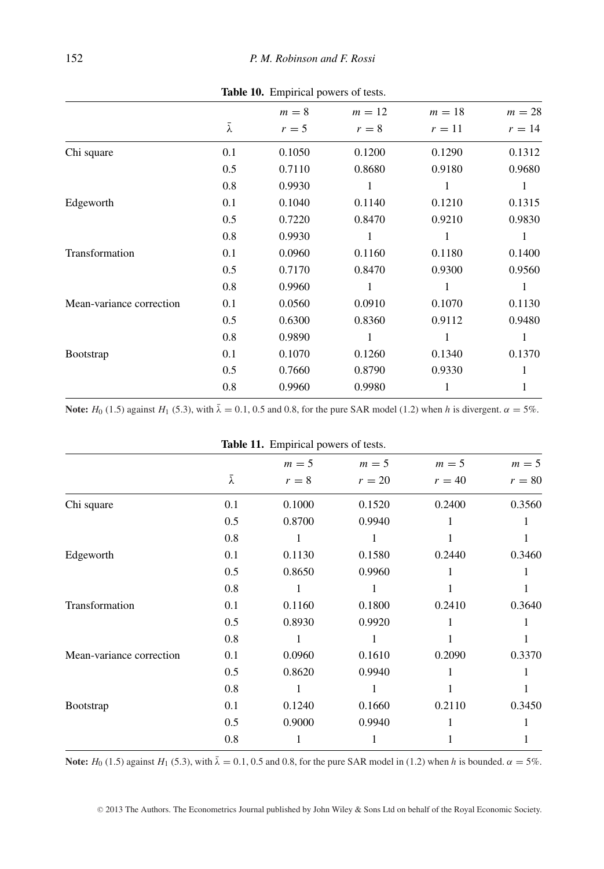|                          |                 | $m=8$  | $m=12$  | $m=18$ | $m=28$ |
|--------------------------|-----------------|--------|---------|--------|--------|
|                          | $\bar{\lambda}$ | $r=5$  | $r = 8$ | $r=11$ | $r=14$ |
| Chi square               | 0.1             | 0.1050 | 0.1200  | 0.1290 | 0.1312 |
|                          | 0.5             | 0.7110 | 0.8680  | 0.9180 | 0.9680 |
|                          | 0.8             | 0.9930 | 1       | 1      | 1      |
| Edgeworth                | 0.1             | 0.1040 | 0.1140  | 0.1210 | 0.1315 |
|                          | 0.5             | 0.7220 | 0.8470  | 0.9210 | 0.9830 |
|                          | 0.8             | 0.9930 | 1       |        | 1      |
| Transformation           | 0.1             | 0.0960 | 0.1160  | 0.1180 | 0.1400 |
|                          | 0.5             | 0.7170 | 0.8470  | 0.9300 | 0.9560 |
|                          | 0.8             | 0.9960 | 1       | 1      | 1      |
| Mean-variance correction | 0.1             | 0.0560 | 0.0910  | 0.1070 | 0.1130 |
|                          | 0.5             | 0.6300 | 0.8360  | 0.9112 | 0.9480 |
|                          | 0.8             | 0.9890 | 1       | 1      | 1      |
| <b>Bootstrap</b>         | 0.1             | 0.1070 | 0.1260  | 0.1340 | 0.1370 |
|                          | 0.5             | 0.7660 | 0.8790  | 0.9330 | 1      |
|                          | 0.8             | 0.9960 | 0.9980  |        | 1      |
|                          |                 |        |         |        |        |

**Table 10.** Empirical powers of tests.

**Note:**  $H_0$  (1.5) against  $H_1$  (5.3), with  $\bar{\lambda} = 0.1$ , 0.5 and 0.8, for the pure SAR model (1.2) when *h* is divergent.  $\alpha = 5\%$ .

|                          |     | <b>Table 11.</b> Empirical powers of tests. |         |          |          |
|--------------------------|-----|---------------------------------------------|---------|----------|----------|
|                          |     | $m = 5$                                     | $m = 5$ | $m = 5$  | $m=5$    |
|                          | λ   | $r = 8$                                     | $r=20$  | $r = 40$ | $r = 80$ |
| Chi square               | 0.1 | 0.1000                                      | 0.1520  | 0.2400   | 0.3560   |
|                          | 0.5 | 0.8700                                      | 0.9940  |          |          |
|                          | 0.8 | 1                                           | 1       |          | 1        |
| Edgeworth                | 0.1 | 0.1130                                      | 0.1580  | 0.2440   | 0.3460   |
|                          | 0.5 | 0.8650                                      | 0.9960  | 1        | 1        |
|                          | 0.8 | 1                                           |         |          | 1        |
| Transformation           | 0.1 | 0.1160                                      | 0.1800  | 0.2410   | 0.3640   |
|                          | 0.5 | 0.8930                                      | 0.9920  |          |          |
|                          | 0.8 | 1                                           | 1       | 1        | 1        |
| Mean-variance correction | 0.1 | 0.0960                                      | 0.1610  | 0.2090   | 0.3370   |
|                          | 0.5 | 0.8620                                      | 0.9940  |          |          |
|                          | 0.8 | 1                                           | 1       |          | 1        |
| <b>Bootstrap</b>         | 0.1 | 0.1240                                      | 0.1660  | 0.2110   | 0.3450   |
|                          | 0.5 | 0.9000                                      | 0.9940  |          | 1        |
|                          | 0.8 | 1                                           | 1       |          | 1        |

**Table 11.** Empirical powers of

Note:  $H_0$  (1.5) against  $H_1$  (5.3), with  $\bar{\lambda} = 0.1, 0.5$  and 0.8, for the pure SAR model in (1.2) when *h* is bounded.  $\alpha = 5\%$ .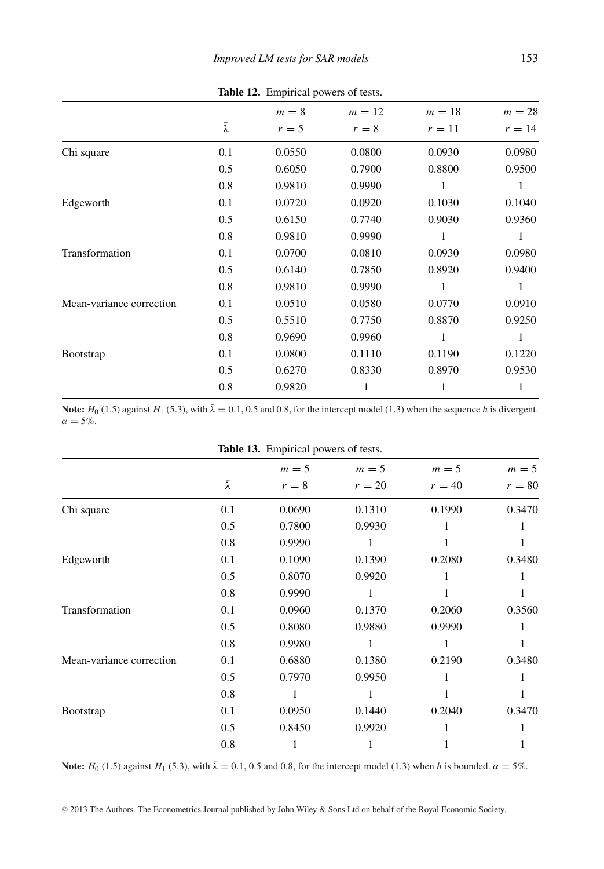|                          |                 | $m=8$  | $m=12$ | $m=18$ | $m=28$ |
|--------------------------|-----------------|--------|--------|--------|--------|
|                          | $\bar{\lambda}$ | $r=5$  | $r=8$  | $r=11$ | $r=14$ |
| Chi square               | 0.1             | 0.0550 | 0.0800 | 0.0930 | 0.0980 |
|                          | 0.5             | 0.6050 | 0.7900 | 0.8800 | 0.9500 |
|                          | 0.8             | 0.9810 | 0.9990 | 1      | 1      |
| Edgeworth                | 0.1             | 0.0720 | 0.0920 | 0.1030 | 0.1040 |
|                          | 0.5             | 0.6150 | 0.7740 | 0.9030 | 0.9360 |
|                          | 0.8             | 0.9810 | 0.9990 | 1      | 1      |
| Transformation           | 0.1             | 0.0700 | 0.0810 | 0.0930 | 0.0980 |
|                          | 0.5             | 0.6140 | 0.7850 | 0.8920 | 0.9400 |
|                          | 0.8             | 0.9810 | 0.9990 | 1      | 1      |
| Mean-variance correction | 0.1             | 0.0510 | 0.0580 | 0.0770 | 0.0910 |
|                          | 0.5             | 0.5510 | 0.7750 | 0.8870 | 0.9250 |
|                          | 0.8             | 0.9690 | 0.9960 | 1      | 1      |
| <b>Bootstrap</b>         | 0.1             | 0.0800 | 0.1110 | 0.1190 | 0.1220 |
|                          | 0.5             | 0.6270 | 0.8330 | 0.8970 | 0.9530 |
|                          | 0.8             | 0.9820 | 1      |        |        |

**Table 12.** Empirical powers of tests.

**Note:**  $H_0$  (1.5) against  $H_1$  (5.3), with  $\bar{\lambda} = 0.1, 0.5$  and 0.8, for the intercept model (1.3) when the sequence *h* is divergent.  $\alpha = 5\%$ .

|                          |     | Table 13. Empirical powers of tests. |        |          |          |
|--------------------------|-----|--------------------------------------|--------|----------|----------|
|                          |     | $m=5$                                | $m=5$  | $m=5$    | $m=5$    |
|                          | λ   | $r=8$                                | $r=20$ | $r = 40$ | $r = 80$ |
| Chi square               | 0.1 | 0.0690                               | 0.1310 | 0.1990   | 0.3470   |
|                          | 0.5 | 0.7800                               | 0.9930 | 1        |          |
|                          | 0.8 | 0.9990                               | 1      |          |          |
| Edgeworth                | 0.1 | 0.1090                               | 0.1390 | 0.2080   | 0.3480   |
|                          | 0.5 | 0.8070                               | 0.9920 | 1        |          |
|                          | 0.8 | 0.9990                               | 1      |          |          |
| Transformation           | 0.1 | 0.0960                               | 0.1370 | 0.2060   | 0.3560   |
|                          | 0.5 | 0.8080                               | 0.9880 | 0.9990   |          |
|                          | 0.8 | 0.9980                               | 1      | 1        |          |
| Mean-variance correction | 0.1 | 0.6880                               | 0.1380 | 0.2190   | 0.3480   |
|                          | 0.5 | 0.7970                               | 0.9950 | 1        |          |
|                          | 0.8 | 1                                    | 1      |          |          |
| <b>Bootstrap</b>         | 0.1 | 0.0950                               | 0.1440 | 0.2040   | 0.3470   |
|                          | 0.5 | 0.8450                               | 0.9920 | 1        |          |
|                          | 0.8 | 1                                    | 1      |          |          |
|                          |     |                                      |        |          |          |

**Note:** *H*<sub>0</sub> (1.5) against *H*<sub>1</sub> (5.3), with  $\bar{\lambda} = 0.1, 0.5$  and 0.8, for the intercept model (1.3) when *h* is bounded.  $\alpha = 5\%$ .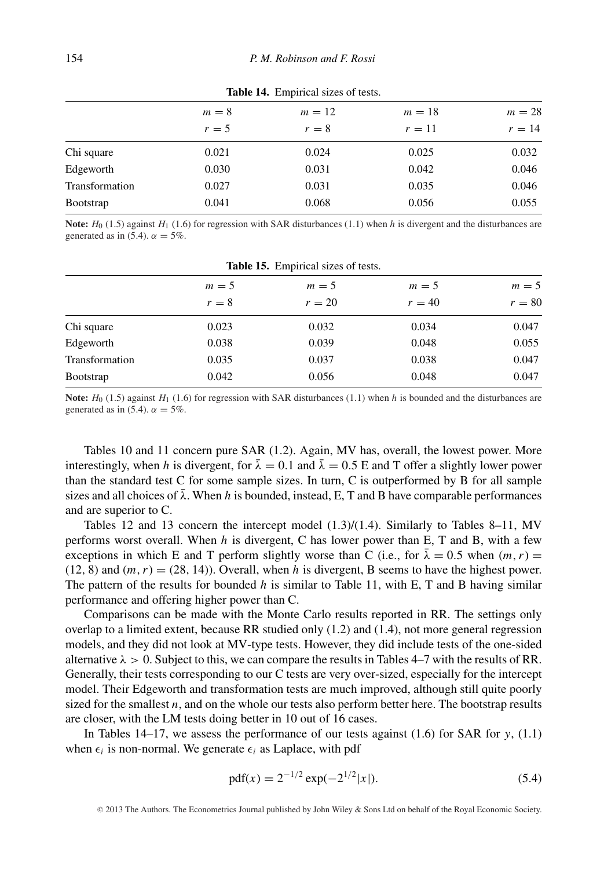|                  | $m=8$ | $m=12$  | $m=18$ | $m=28$ |
|------------------|-------|---------|--------|--------|
|                  | $r=5$ | $r = 8$ | $r=11$ | $r=14$ |
| Chi square       | 0.021 | 0.024   | 0.025  | 0.032  |
| Edgeworth        | 0.030 | 0.031   | 0.042  | 0.046  |
| Transformation   | 0.027 | 0.031   | 0.035  | 0.046  |
| <b>Bootstrap</b> | 0.041 | 0.068   | 0.056  | 0.055  |

**Table 14.** Empirical sizes of tests.

**Note:**  $H_0$  (1.5) against  $H_1$  (1.6) for regression with SAR disturbances (1.1) when *h* is divergent and the disturbances are generated as in (5.4).  $\alpha = 5\%$ .

| <b>Table 15.</b> Empirical sizes of tests. |       |        |          |          |  |
|--------------------------------------------|-------|--------|----------|----------|--|
|                                            | $m=5$ | $m=5$  | $m=5$    | $m = 5$  |  |
|                                            | $r=8$ | $r=20$ | $r = 40$ | $r = 80$ |  |
| Chi square                                 | 0.023 | 0.032  | 0.034    | 0.047    |  |
| Edgeworth                                  | 0.038 | 0.039  | 0.048    | 0.055    |  |
| Transformation                             | 0.035 | 0.037  | 0.038    | 0.047    |  |
| Bootstrap                                  | 0.042 | 0.056  | 0.048    | 0.047    |  |

**Note:**  $H_0$  (1.5) against  $H_1$  (1.6) for regression with SAR disturbances (1.1) when *h* is bounded and the disturbances are generated as in (5.4).  $\alpha = 5\%$ .

Tables 10 and 11 concern pure SAR (1.2). Again, MV has, overall, the lowest power. More interestingly, when *h* is divergent, for  $\bar{\lambda} = 0.1$  and  $\bar{\lambda} = 0.5$  E and T offer a slightly lower power than the standard test C for some sample sizes. In turn, C is outperformed by B for all sample sizes and all choices of  $\bar{\lambda}$ . When *h* is bounded, instead, E, T and B have comparable performances and are superior to C.

Tables 12 and 13 concern the intercept model  $(1.3)/(1.4)$ . Similarly to Tables 8–11, MV performs worst overall. When *h* is divergent, C has lower power than E, T and B, with a few exceptions in which E and T perform slightly worse than C (i.e., for  $\bar{\lambda} = 0.5$  when  $(m, r) =$  $(12, 8)$  and  $(m, r) = (28, 14)$ . Overall, when *h* is divergent, B seems to have the highest power. The pattern of the results for bounded *h* is similar to Table 11, with E, T and B having similar performance and offering higher power than C.

Comparisons can be made with the Monte Carlo results reported in RR. The settings only overlap to a limited extent, because RR studied only (1.2) and (1.4), not more general regression models, and they did not look at MV-type tests. However, they did include tests of the one-sided alternative  $\lambda > 0$ . Subject to this, we can compare the results in Tables 4–7 with the results of RR. Generally, their tests corresponding to our C tests are very over-sized, especially for the intercept model. Their Edgeworth and transformation tests are much improved, although still quite poorly sized for the smallest *n*, and on the whole our tests also perform better here. The bootstrap results are closer, with the LM tests doing better in 10 out of 16 cases.

In Tables 14–17, we assess the performance of our tests against (1.6) for SAR for *y*, (1.1) when  $\epsilon_i$  is non-normal. We generate  $\epsilon_i$  as Laplace, with pdf

$$
pdf(x) = 2^{-1/2} exp(-2^{1/2}|x|).
$$
 (5.4)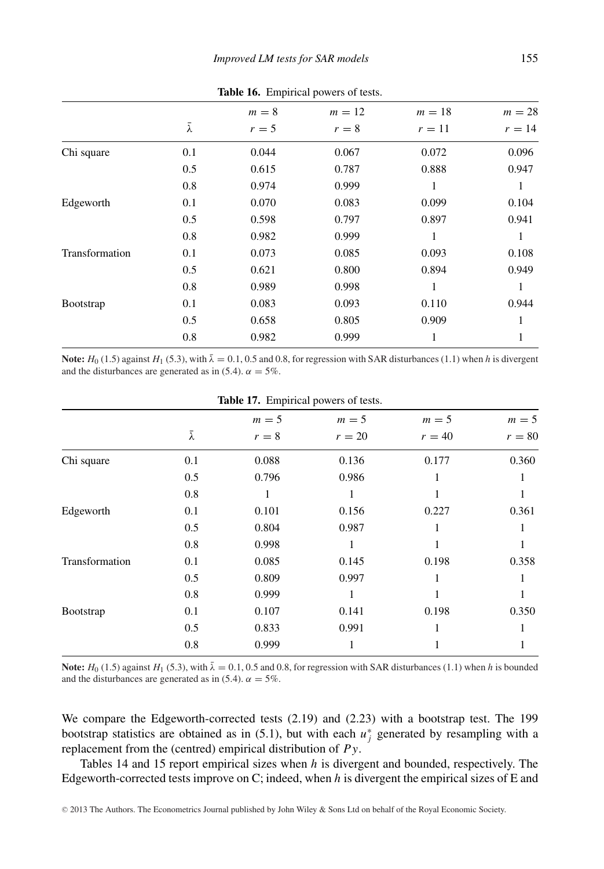| $\frac{1}{200}$ 200 $\frac{1}{200}$ $\frac{1}{200}$ $\frac{1}{200}$ $\frac{1}{200}$ $\frac{1}{200}$ $\frac{1}{200}$ $\frac{1}{200}$ |     |       |        |        |        |
|-------------------------------------------------------------------------------------------------------------------------------------|-----|-------|--------|--------|--------|
|                                                                                                                                     |     | $m=8$ | $m=12$ | $m=18$ | $m=28$ |
|                                                                                                                                     | ī   | $r=5$ | $r=8$  | $r=11$ | $r=14$ |
| Chi square                                                                                                                          | 0.1 | 0.044 | 0.067  | 0.072  | 0.096  |
|                                                                                                                                     | 0.5 | 0.615 | 0.787  | 0.888  | 0.947  |
|                                                                                                                                     | 0.8 | 0.974 | 0.999  | 1      | 1      |
| Edgeworth                                                                                                                           | 0.1 | 0.070 | 0.083  | 0.099  | 0.104  |
|                                                                                                                                     | 0.5 | 0.598 | 0.797  | 0.897  | 0.941  |
|                                                                                                                                     | 0.8 | 0.982 | 0.999  | 1      | 1      |
| Transformation                                                                                                                      | 0.1 | 0.073 | 0.085  | 0.093  | 0.108  |
|                                                                                                                                     | 0.5 | 0.621 | 0.800  | 0.894  | 0.949  |
|                                                                                                                                     | 0.8 | 0.989 | 0.998  | 1      | 1      |
| <b>Bootstrap</b>                                                                                                                    | 0.1 | 0.083 | 0.093  | 0.110  | 0.944  |
|                                                                                                                                     | 0.5 | 0.658 | 0.805  | 0.909  |        |
|                                                                                                                                     | 0.8 | 0.982 | 0.999  | 1      | 1      |

**Table 16.** Empirical powers of tests.

**Note:**  $H_0$  (1.5) against  $H_1$  (5.3), with  $\bar{\lambda} = 0.1, 0.5$  and 0.8, for regression with SAR disturbances (1.1) when *h* is divergent and the disturbances are generated as in (5.4).  $\alpha = 5\%$ .

| <b>Table 17:</b> Empirical powers of tests. |                 |       |         |          |          |
|---------------------------------------------|-----------------|-------|---------|----------|----------|
|                                             |                 | $m=5$ | $m = 5$ | $m = 5$  | $m = 5$  |
|                                             | $\bar{\lambda}$ | $r=8$ | $r=20$  | $r = 40$ | $r = 80$ |
| Chi square                                  | 0.1             | 0.088 | 0.136   | 0.177    | 0.360    |
|                                             | 0.5             | 0.796 | 0.986   | 1        |          |
|                                             | 0.8             | 1     |         | 1        |          |
| Edgeworth                                   | 0.1             | 0.101 | 0.156   | 0.227    | 0.361    |
|                                             | 0.5             | 0.804 | 0.987   | 1        |          |
|                                             | 0.8             | 0.998 | 1       | 1        |          |
| Transformation                              | 0.1             | 0.085 | 0.145   | 0.198    | 0.358    |
|                                             | 0.5             | 0.809 | 0.997   | 1        |          |
|                                             | 0.8             | 0.999 |         | 1        |          |
| Bootstrap                                   | 0.1             | 0.107 | 0.141   | 0.198    | 0.350    |
|                                             | 0.5             | 0.833 | 0.991   | 1        |          |
|                                             | 0.8             | 0.999 |         |          |          |
|                                             |                 |       |         |          |          |

**Table 17.** Empirical powers of tests.

**Note:**  $H_0$  (1.5) against  $H_1$  (5.3), with  $\bar{\lambda} = 0.1, 0.5$  and 0.8, for regression with SAR disturbances (1.1) when *h* is bounded and the disturbances are generated as in (5.4).  $\alpha = 5\%$ .

We compare the Edgeworth-corrected tests (2.19) and (2.23) with a bootstrap test. The 199 bootstrap statistics are obtained as in (5.1), but with each  $u_j^*$  generated by resampling with a replacement from the (centred) empirical distribution of *P y*.

Tables 14 and 15 report empirical sizes when *h* is divergent and bounded, respectively. The Edgeworth-corrected tests improve on C; indeed, when *h* is divergent the empirical sizes of E and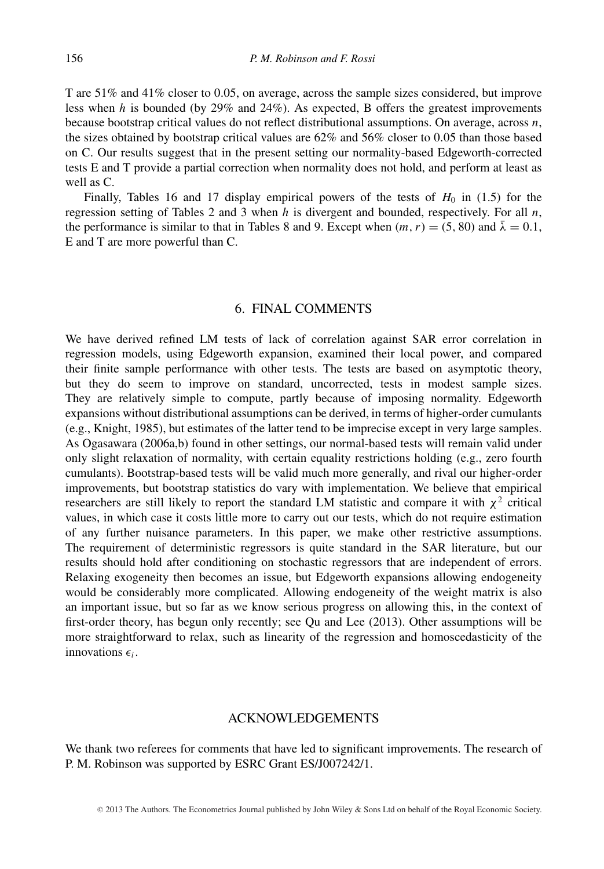T are 51% and 41% closer to 0*.*05, on average, across the sample sizes considered, but improve less when *h* is bounded (by 29% and 24%). As expected, B offers the greatest improvements because bootstrap critical values do not reflect distributional assumptions. On average, across *n*, the sizes obtained by bootstrap critical values are 62% and 56% closer to 0*.*05 than those based on C. Our results suggest that in the present setting our normality-based Edgeworth-corrected tests E and T provide a partial correction when normality does not hold, and perform at least as well as C.

Finally, Tables 16 and 17 display empirical powers of the tests of  $H_0$  in (1.5) for the regression setting of Tables 2 and 3 when *h* is divergent and bounded, respectively. For all *n*, the performance is similar to that in Tables 8 and 9. Except when  $(m, r) = (5, 80)$  and  $\bar{\lambda} = 0.1$ , E and T are more powerful than C.

#### 6. FINAL COMMENTS

We have derived refined LM tests of lack of correlation against SAR error correlation in regression models, using Edgeworth expansion, examined their local power, and compared their finite sample performance with other tests. The tests are based on asymptotic theory, but they do seem to improve on standard, uncorrected, tests in modest sample sizes. They are relatively simple to compute, partly because of imposing normality. Edgeworth expansions without distributional assumptions can be derived, in terms of higher-order cumulants (e.g., Knight, 1985), but estimates of the latter tend to be imprecise except in very large samples. As Ogasawara (2006a,b) found in other settings, our normal-based tests will remain valid under only slight relaxation of normality, with certain equality restrictions holding (e.g., zero fourth cumulants). Bootstrap-based tests will be valid much more generally, and rival our higher-order improvements, but bootstrap statistics do vary with implementation. We believe that empirical researchers are still likely to report the standard LM statistic and compare it with *χ*<sup>2</sup> critical values, in which case it costs little more to carry out our tests, which do not require estimation of any further nuisance parameters. In this paper, we make other restrictive assumptions. The requirement of deterministic regressors is quite standard in the SAR literature, but our results should hold after conditioning on stochastic regressors that are independent of errors. Relaxing exogeneity then becomes an issue, but Edgeworth expansions allowing endogeneity would be considerably more complicated. Allowing endogeneity of the weight matrix is also an important issue, but so far as we know serious progress on allowing this, in the context of first-order theory, has begun only recently; see Qu and Lee (2013). Other assumptions will be more straightforward to relax, such as linearity of the regression and homoscedasticity of the innovations  $\epsilon_i$ .

#### ACKNOWLEDGEMENTS

We thank two referees for comments that have led to significant improvements. The research of P. M. Robinson was supported by ESRC Grant ES/J007242/1.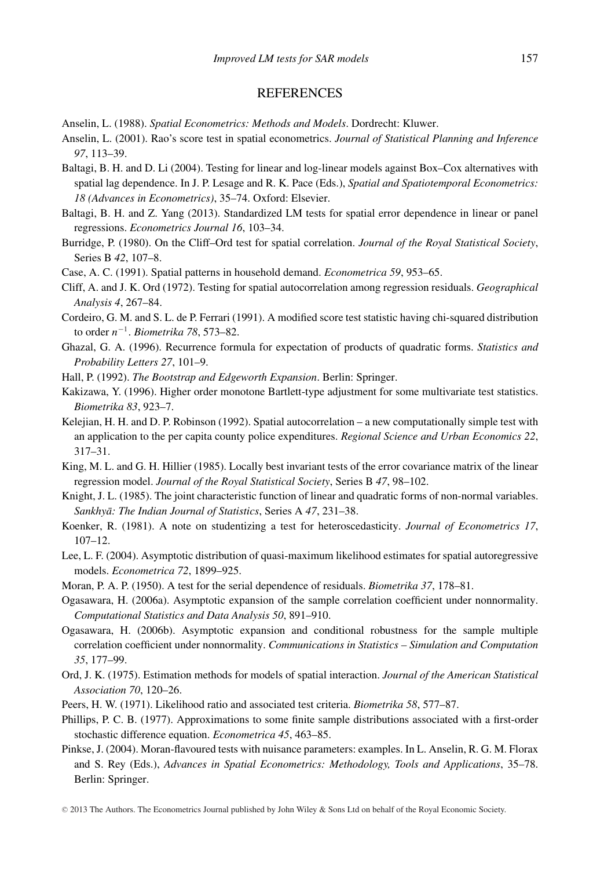#### **REFERENCES**

- Anselin, L. (1988). *Spatial Econometrics: Methods and Models*. Dordrecht: Kluwer.
- Anselin, L. (2001). Rao's score test in spatial econometrics. *Journal of Statistical Planning and Inference 97*, 113–39.
- Baltagi, B. H. and D. Li (2004). Testing for linear and log-linear models against Box–Cox alternatives with spatial lag dependence. In J. P. Lesage and R. K. Pace (Eds.), *Spatial and Spatiotemporal Econometrics: 18 (Advances in Econometrics)*, 35–74. Oxford: Elsevier.
- Baltagi, B. H. and Z. Yang (2013). Standardized LM tests for spatial error dependence in linear or panel regressions. *Econometrics Journal 16*, 103–34.
- Burridge, P. (1980). On the Cliff–Ord test for spatial correlation. *Journal of the Royal Statistical Society*, Series B *42*, 107–8.
- Case, A. C. (1991). Spatial patterns in household demand. *Econometrica 59*, 953–65.
- Cliff, A. and J. K. Ord (1972). Testing for spatial autocorrelation among regression residuals. *Geographical Analysis 4*, 267–84.
- Cordeiro, G. M. and S. L. de P. Ferrari (1991). A modified score test statistic having chi-squared distribution to order *n*−<sup>1</sup>*. Biometrika 78*, 573–82.
- Ghazal, G. A. (1996). Recurrence formula for expectation of products of quadratic forms. *Statistics and Probability Letters 27*, 101–9.
- Hall, P. (1992). *The Bootstrap and Edgeworth Expansion*. Berlin: Springer.
- Kakizawa, Y. (1996). Higher order monotone Bartlett-type adjustment for some multivariate test statistics. *Biometrika 83*, 923–7.
- Kelejian, H. H. and D. P. Robinson (1992). Spatial autocorrelation a new computationally simple test with an application to the per capita county police expenditures. *Regional Science and Urban Economics 22*, 317–31.
- King, M. L. and G. H. Hillier (1985). Locally best invariant tests of the error covariance matrix of the linear regression model. *Journal of the Royal Statistical Society*, Series B *47*, 98–102.
- Knight, J. L. (1985). The joint characteristic function of linear and quadratic forms of non-normal variables. *Sankhyā: The Indian Journal of Statistics*, Series A 47, 231–38.
- Koenker, R. (1981). A note on studentizing a test for heteroscedasticity. *Journal of Econometrics 17*, 107–12.
- Lee, L. F. (2004). Asymptotic distribution of quasi-maximum likelihood estimates for spatial autoregressive models. *Econometrica 72*, 1899–925.
- Moran, P. A. P. (1950). A test for the serial dependence of residuals. *Biometrika 37*, 178–81.
- Ogasawara, H. (2006a). Asymptotic expansion of the sample correlation coefficient under nonnormality. *Computational Statistics and Data Analysis 50*, 891–910.
- Ogasawara, H. (2006b). Asymptotic expansion and conditional robustness for the sample multiple correlation coefficient under nonnormality. *Communications in Statistics – Simulation and Computation 35*, 177–99.
- Ord, J. K. (1975). Estimation methods for models of spatial interaction. *Journal of the American Statistical Association 70*, 120–26.
- Peers, H. W. (1971). Likelihood ratio and associated test criteria. *Biometrika 58*, 577–87.
- Phillips, P. C. B. (1977). Approximations to some finite sample distributions associated with a first-order stochastic difference equation. *Econometrica 45*, 463–85.
- Pinkse, J. (2004). Moran-flavoured tests with nuisance parameters: examples. In L. Anselin, R. G. M. Florax and S. Rey (Eds.), *Advances in Spatial Econometrics: Methodology, Tools and Applications*, 35–78. Berlin: Springer.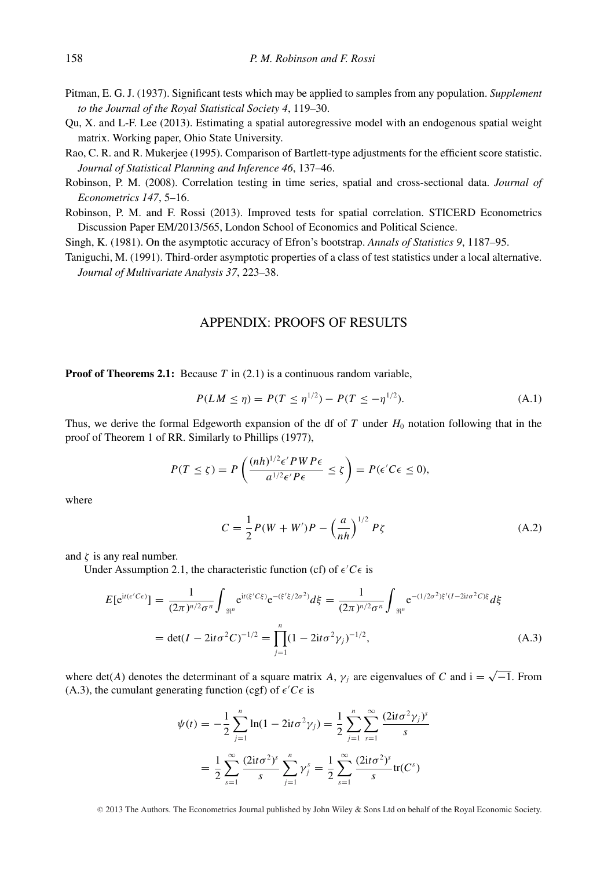- Pitman, E. G. J. (1937). Significant tests which may be applied to samples from any population. *Supplement to the Journal of the Royal Statistical Society 4*, 119–30.
- Qu, X. and L-F. Lee (2013). Estimating a spatial autoregressive model with an endogenous spatial weight matrix. Working paper, Ohio State University.
- Rao, C. R. and R. Mukerjee (1995). Comparison of Bartlett-type adjustments for the efficient score statistic. *Journal of Statistical Planning and Inference 46*, 137–46.
- Robinson, P. M. (2008). Correlation testing in time series, spatial and cross-sectional data. *Journal of Econometrics 147*, 5–16.
- Robinson, P. M. and F. Rossi (2013). Improved tests for spatial correlation. STICERD Econometrics Discussion Paper EM/2013/565, London School of Economics and Political Science.
- Singh, K. (1981). On the asymptotic accuracy of Efron's bootstrap. *Annals of Statistics 9*, 1187–95.
- Taniguchi, M. (1991). Third-order asymptotic properties of a class of test statistics under a local alternative. *Journal of Multivariate Analysis 37*, 223–38.

#### APPENDIX: PROOFS OF RESULTS

**Proof of Theorems 2.1:** Because *T* in (2.1) is a continuous random variable,

$$
P(LM \le \eta) = P(T \le \eta^{1/2}) - P(T \le -\eta^{1/2}).
$$
\n(A.1)

Thus, we derive the formal Edgeworth expansion of the df of  $T$  under  $H_0$  notation following that in the proof of Theorem 1 of RR. Similarly to Phillips (1977),

$$
P(T \le \zeta) = P\left(\frac{(nh)^{1/2}\epsilon' PWP\epsilon}{a^{1/2}\epsilon' P\epsilon} \le \zeta\right) = P(\epsilon' C\epsilon \le 0),
$$

where

$$
C = \frac{1}{2}P(W + W')P - \left(\frac{a}{nh}\right)^{1/2}P\zeta
$$
 (A.2)

and  $\zeta$  is any real number.

Under Assumption 2.1, the characteristic function (cf) of  $\epsilon' C \epsilon$  is

$$
E[e^{it(e^{t}Ce)}] = \frac{1}{(2\pi)^{n/2}\sigma^n} \int_{\Re^n} e^{it(\xi^{\prime}C\xi)} e^{-(\xi^{\prime}\xi/2\sigma^2)} d\xi = \frac{1}{(2\pi)^{n/2}\sigma^n} \int_{\Re^n} e^{-(1/2\sigma^2)\xi^{\prime}(I-2it\sigma^2C)\xi} d\xi
$$
  
= det $(I - 2it\sigma^2C)^{-1/2} = \prod_{j=1}^n (1 - 2it\sigma^2\gamma_j)^{-1/2}$ , (A.3)

where det(*A*) denotes the determinant of a square matrix *A*,  $\gamma_i$  are eigenvalues of *C* and i =  $\sqrt{-1}$ . From (A.3), the cumulant generating function (cgf) of  $\epsilon$ <sup>'</sup>C $\epsilon$  is

$$
\psi(t) = -\frac{1}{2} \sum_{j=1}^{n} \ln(1 - 2it\sigma^{2} \gamma_{j}) = \frac{1}{2} \sum_{j=1}^{n} \sum_{s=1}^{\infty} \frac{(2it\sigma^{2} \gamma_{j})^{s}}{s}
$$

$$
= \frac{1}{2} \sum_{s=1}^{\infty} \frac{(2it\sigma^{2})^{s}}{s} \sum_{j=1}^{n} \gamma_{j}^{s} = \frac{1}{2} \sum_{s=1}^{\infty} \frac{(2it\sigma^{2})^{s}}{s} \text{tr}(C^{s})
$$

<sup>C</sup> 2013 The Authors. The Econometrics Journal published by John Wiley & Sons Ltd on behalf of the Royal Economic Society.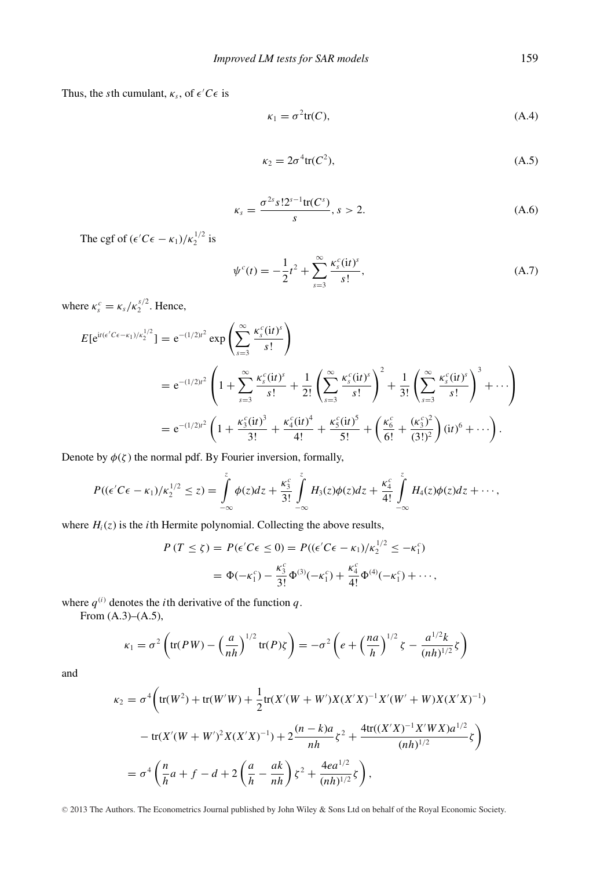Thus, the *s*th cumulant,  $\kappa_s$ , of  $\epsilon' C \epsilon$  is

$$
\kappa_1 = \sigma^2 \text{tr}(C),\tag{A.4}
$$

$$
\kappa_2 = 2\sigma^4 \text{tr}(C^2),\tag{A.5}
$$

$$
\kappa_s = \frac{\sigma^{2s} s! 2^{s-1} \text{tr}(C^s)}{s}, s > 2. \tag{A.6}
$$

The cgf of  $(\epsilon' C \epsilon - \kappa_1)/\kappa_2^{1/2}$  is

$$
\psi^{c}(t) = -\frac{1}{2}t^{2} + \sum_{s=3}^{\infty} \frac{\kappa_{s}^{c}(it)^{s}}{s!},
$$
\n(A.7)

where  $\kappa_s^c = \kappa_s / \kappa_2^{s/2}$ . Hence,

$$
E[e^{it(e'C\epsilon - \kappa_1)/\kappa_2^{1/2}}] = e^{-(1/2)t^2} \exp\left(\sum_{s=3}^{\infty} \frac{\kappa_s^c(it)^s}{s!} \right)
$$
  
=  $e^{-(1/2)t^2} \left(1 + \sum_{s=3}^{\infty} \frac{\kappa_s^c(it)^s}{s!} + \frac{1}{2!} \left(\sum_{s=3}^{\infty} \frac{\kappa_s^c(it)^s}{s!} \right)^2 + \frac{1}{3!} \left(\sum_{s=3}^{\infty} \frac{\kappa_s^c(it)^s}{s!} \right)^3 + \cdots \right)$   
=  $e^{-(1/2)t^2} \left(1 + \frac{\kappa_3^c(it)^3}{3!} + \frac{\kappa_4^c(it)^4}{4!} + \frac{\kappa_5^c(it)^5}{5!} + \left(\frac{\kappa_6^c}{6!} + \frac{(\kappa_3^c)^2}{(3!)^2} \right)(it)^6 + \cdots \right).$ 

Denote by  $\phi(\zeta)$  the normal pdf. By Fourier inversion, formally,

$$
P((\epsilon' C \epsilon - \kappa_1)/\kappa_2^{1/2} \leq z) = \int_{-\infty}^{z} \phi(z) dz + \frac{\kappa_3^c}{3!} \int_{-\infty}^{z} H_3(z) \phi(z) dz + \frac{\kappa_4^c}{4!} \int_{-\infty}^{z} H_4(z) \phi(z) dz + \cdots,
$$

where  $H_i(z)$  is the *i*th Hermite polynomial. Collecting the above results,

$$
P(T \le \zeta) = P(\epsilon' C \epsilon \le 0) = P((\epsilon' C \epsilon - \kappa_1)/\kappa_2^{1/2} \le -\kappa_1^c)
$$
  
=  $\Phi(-\kappa_1^c) - \frac{\kappa_3^c}{3!} \Phi^{(3)}(-\kappa_1^c) + \frac{\kappa_4^c}{4!} \Phi^{(4)}(-\kappa_1^c) + \cdots,$ 

where  $q^{(i)}$  denotes the *i*th derivative of the function  $q$ .

From  $(A.3)–(A.5)$ ,

$$
\kappa_1 = \sigma^2 \left( \text{tr}(PW) - \left( \frac{a}{nh} \right)^{1/2} \text{tr}(P) \zeta \right) = -\sigma^2 \left( e + \left( \frac{na}{h} \right)^{1/2} \zeta - \frac{a^{1/2} k}{(nh)^{1/2}} \zeta \right)
$$

and

$$
\kappa_2 = \sigma^4 \left( \text{tr}(W^2) + \text{tr}(W'W) + \frac{1}{2} \text{tr}(X'(W+W')X(X'X)^{-1}X'(W' + W)X(X'X)^{-1}) - \text{tr}(X'(W+W')^2X(X'X)^{-1}) + 2\frac{(n-k)a}{nh}\zeta^2 + \frac{4\text{tr}((X'X)^{-1}X'WX)a^{1/2}}{(nh)^{1/2}}\zeta \right)
$$
  
=  $\sigma^4 \left( \frac{n}{h}a + f - d + 2\left(\frac{a}{h} - \frac{ak}{nh}\right)\zeta^2 + \frac{4ea^{1/2}}{(nh)^{1/2}}\zeta \right),$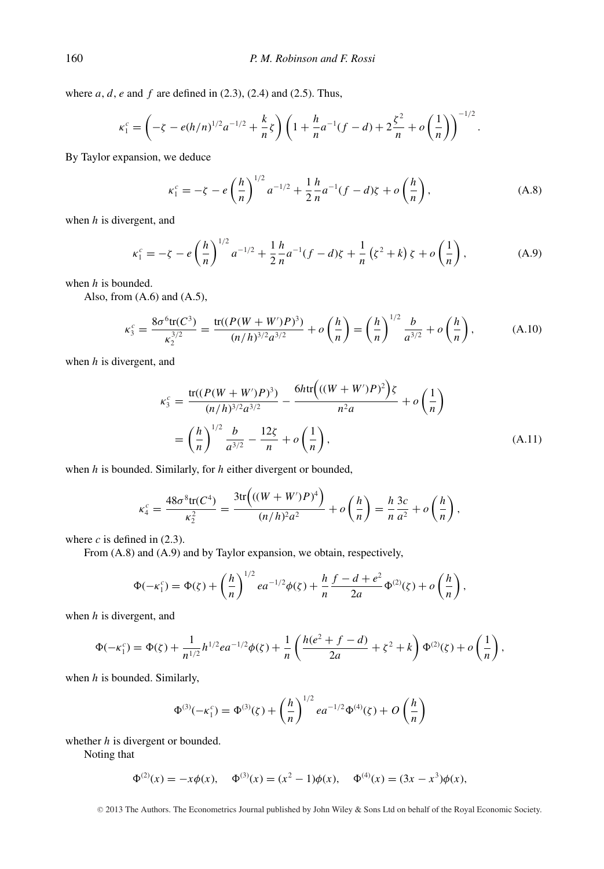where *a*, *d*, *e* and *f* are defined in (2.3), (2.4) and (2.5). Thus,

$$
\kappa_1^c = \left(-\zeta - e(h/n)^{1/2}a^{-1/2} + \frac{k}{n}\zeta\right)\left(1 + \frac{h}{n}a^{-1}(f-d) + 2\frac{\zeta^2}{n} + o\left(\frac{1}{n}\right)\right)^{-1/2}.
$$

By Taylor expansion, we deduce

$$
\kappa_1^c = -\zeta - e\left(\frac{h}{n}\right)^{1/2} a^{-1/2} + \frac{1}{2} \frac{h}{n} a^{-1} (f - d)\zeta + o\left(\frac{h}{n}\right),\tag{A.8}
$$

when *h* is divergent, and

$$
\kappa_1^c = -\zeta - e\left(\frac{h}{n}\right)^{1/2} a^{-1/2} + \frac{1}{2} \frac{h}{n} a^{-1} (f - d)\zeta + \frac{1}{n} \left(\zeta^2 + k\right) \zeta + o\left(\frac{1}{n}\right),\tag{A.9}
$$

when *h* is bounded.

Also, from  $(A.6)$  and  $(A.5)$ ,

$$
\kappa_3^c = \frac{8\sigma^6 \text{tr}(C^3)}{\kappa_2^{3/2}} = \frac{\text{tr}((P(W+W')P)^3)}{(n/h)^{3/2}a^{3/2}} + o\left(\frac{h}{n}\right) = \left(\frac{h}{n}\right)^{1/2} \frac{b}{a^{3/2}} + o\left(\frac{h}{n}\right),\tag{A.10}
$$

when *h* is divergent, and

$$
\kappa_3^c = \frac{\text{tr}((P(W+W')P)^3)}{(n/h)^{3/2}a^{3/2}} - \frac{6h \text{tr}\left(((W+W')P)^2\right)\zeta}{n^2a} + o\left(\frac{1}{n}\right)
$$

$$
= \left(\frac{h}{n}\right)^{1/2} \frac{b}{a^{3/2}} - \frac{12\zeta}{n} + o\left(\frac{1}{n}\right),\tag{A.11}
$$

when *h* is bounded. Similarly, for *h* either divergent or bounded,

$$
\kappa_4^c = \frac{48\sigma^8 \text{tr}(C^4)}{\kappa_2^2} = \frac{3\text{tr}\left(((W+W')P)^4\right)}{(n/h)^2 a^2} + o\left(\frac{h}{n}\right) = \frac{h}{n} \frac{3c}{a^2} + o\left(\frac{h}{n}\right),
$$

where  $c$  is defined in  $(2.3)$ .

From (A.8) and (A.9) and by Taylor expansion, we obtain, respectively,

$$
\Phi(-\kappa_1^c) = \Phi(\zeta) + \left(\frac{h}{n}\right)^{1/2} e^{-(1/2)}\phi(\zeta) + \frac{h}{n}\frac{f - d + e^2}{2a}\Phi^{(2)}(\zeta) + o\left(\frac{h}{n}\right),
$$

when *h* is divergent, and

$$
\Phi(-\kappa_1^c) = \Phi(\zeta) + \frac{1}{n^{1/2}} h^{1/2} e a^{-1/2} \phi(\zeta) + \frac{1}{n} \left( \frac{h(e^2 + f - d)}{2a} + \zeta^2 + k \right) \Phi^{(2)}(\zeta) + o\left(\frac{1}{n}\right),
$$

when *h* is bounded. Similarly,

$$
\Phi^{(3)}(-\kappa_1^c) = \Phi^{(3)}(\zeta) + \left(\frac{h}{n}\right)^{1/2} e a^{-1/2} \Phi^{(4)}(\zeta) + O\left(\frac{h}{n}\right)
$$

whether *h* is divergent or bounded.

Noting that

$$
\Phi^{(2)}(x) = -x\phi(x), \quad \Phi^{(3)}(x) = (x^2 - 1)\phi(x), \quad \Phi^{(4)}(x) = (3x - x^3)\phi(x),
$$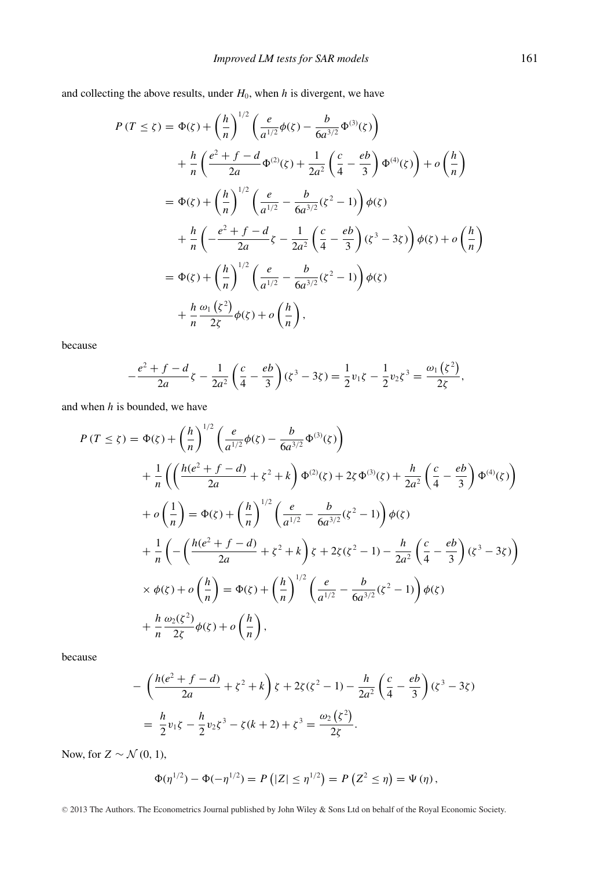and collecting the above results, under  $H_0$ , when  $h$  is divergent, we have

$$
P(T \le \zeta) = \Phi(\zeta) + \left(\frac{h}{n}\right)^{1/2} \left(\frac{e}{a^{1/2}}\phi(\zeta) - \frac{b}{6a^{3/2}}\Phi^{(3)}(\zeta)\right)
$$
  
+ 
$$
\frac{h}{n} \left(\frac{e^{2} + f - d}{2a}\Phi^{(2)}(\zeta) + \frac{1}{2a^{2}}\left(\frac{c}{4} - \frac{eb}{3}\right)\Phi^{(4)}(\zeta)\right) + o\left(\frac{h}{n}\right)
$$
  
= 
$$
\Phi(\zeta) + \left(\frac{h}{n}\right)^{1/2} \left(\frac{e}{a^{1/2}} - \frac{b}{6a^{3/2}}(\zeta^{2} - 1)\right)\phi(\zeta)
$$
  
+ 
$$
\frac{h}{n} \left(-\frac{e^{2} + f - d}{2a}\zeta - \frac{1}{2a^{2}}\left(\frac{c}{4} - \frac{eb}{3}\right)(\zeta^{3} - 3\zeta)\right)\phi(\zeta) + o\left(\frac{h}{n}\right)
$$
  
= 
$$
\Phi(\zeta) + \left(\frac{h}{n}\right)^{1/2} \left(\frac{e}{a^{1/2}} - \frac{b}{6a^{3/2}}(\zeta^{2} - 1)\right)\phi(\zeta)
$$
  
+ 
$$
\frac{h}{n} \frac{\omega_{1}(\zeta^{2})}{2\zeta}\phi(\zeta) + o\left(\frac{h}{n}\right),
$$

because

$$
-\frac{e^2+f-d}{2a}\zeta-\frac{1}{2a^2}\left(\frac{c}{4}-\frac{eb}{3}\right)(\zeta^3-3\zeta)=\frac{1}{2}v_1\zeta-\frac{1}{2}v_2\zeta^3=\frac{\omega_1(\zeta^2)}{2\zeta},
$$

and when *h* is bounded, we have

$$
P(T \le \zeta) = \Phi(\zeta) + \left(\frac{h}{n}\right)^{1/2} \left(\frac{e}{a^{1/2}}\phi(\zeta) - \frac{b}{6a^{3/2}}\Phi^{(3)}(\zeta)\right)
$$
  
+  $\frac{1}{n} \left(\left(\frac{h(e^{2} + f - d)}{2a} + \zeta^{2} + k\right)\Phi^{(2)}(\zeta) + 2\zeta\Phi^{(3)}(\zeta) + \frac{h}{2a^{2}}\left(\frac{c}{4} - \frac{eb}{3}\right)\Phi^{(4)}(\zeta)\right)$   
+  $o\left(\frac{1}{n}\right) = \Phi(\zeta) + \left(\frac{h}{n}\right)^{1/2} \left(\frac{e}{a^{1/2}} - \frac{b}{6a^{3/2}}(\zeta^{2} - 1)\right)\phi(\zeta)$   
+  $\frac{1}{n} \left(-\left(\frac{h(e^{2} + f - d)}{2a} + \zeta^{2} + k\right)\zeta + 2\zeta(\zeta^{2} - 1) - \frac{h}{2a^{2}}\left(\frac{c}{4} - \frac{eb}{3}\right)(\zeta^{3} - 3\zeta)\right)$   
 $\times \phi(\zeta) + o\left(\frac{h}{n}\right) = \Phi(\zeta) + \left(\frac{h}{n}\right)^{1/2} \left(\frac{e}{a^{1/2}} - \frac{b}{6a^{3/2}}(\zeta^{2} - 1)\right)\phi(\zeta)$   
+  $\frac{h}{n} \frac{\omega_{2}(\zeta^{2})}{2\zeta}\phi(\zeta) + o\left(\frac{h}{n}\right),$ 

because

$$
-\left(\frac{h(e^{2}+f-d)}{2a}+\zeta^{2}+k\right)\zeta+2\zeta(\zeta^{2}-1)-\frac{h}{2a^{2}}\left(\frac{c}{4}-\frac{eb}{3}\right)(\zeta^{3}-3\zeta)
$$

$$
=\frac{h}{2}v_{1}\zeta-\frac{h}{2}v_{2}\zeta^{3}-\zeta(k+2)+\zeta^{3}=\frac{\omega_{2}(\zeta^{2})}{2\zeta}.
$$

Now, for  $Z \sim \mathcal{N}(0, 1)$ ,

$$
\Phi(\eta^{1/2}) - \Phi(-\eta^{1/2}) = P(|Z| \leq \eta^{1/2}) = P(Z^2 \leq \eta) = \Psi(\eta),
$$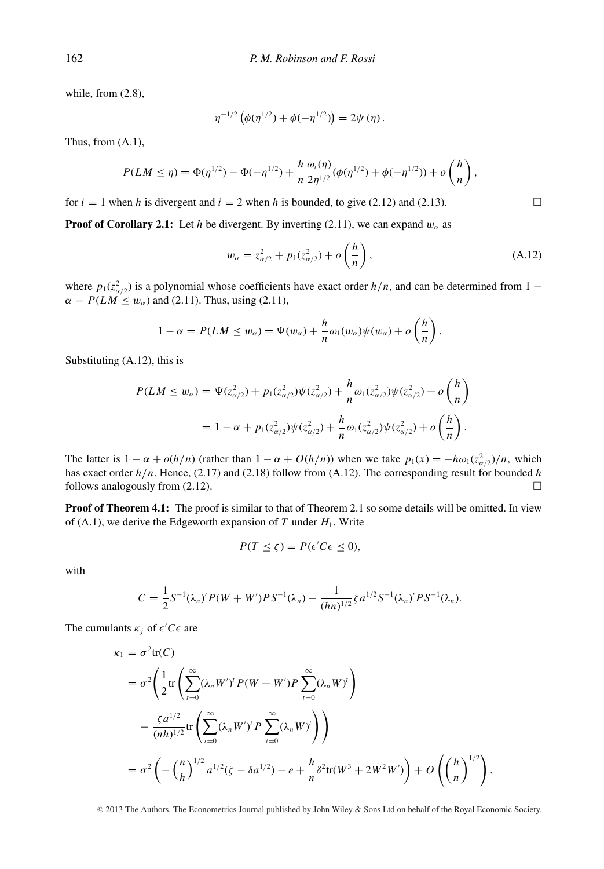while, from (2.8),

$$
\eta^{-1/2} \left( \phi(\eta^{1/2}) + \phi(-\eta^{1/2}) \right) = 2\psi(\eta).
$$

Thus, from (A.1),

$$
P(LM \leq \eta) = \Phi(\eta^{1/2}) - \Phi(-\eta^{1/2}) + \frac{h}{n} \frac{\omega_i(\eta)}{2\eta^{1/2}} (\phi(\eta^{1/2}) + \phi(-\eta^{1/2})) + o\left(\frac{h}{n}\right),
$$

for  $i = 1$  when *h* is divergent and  $i = 2$  when *h* is bounded, to give (2.12) and (2.13).

**Proof of Corollary 2.1:** Let *h* be divergent. By inverting (2.11), we can expand  $w_\alpha$  as

$$
w_{\alpha} = z_{\alpha/2}^2 + p_1(z_{\alpha/2}^2) + o\left(\frac{h}{n}\right),
$$
 (A.12)

where  $p_1(z_{\alpha/2}^2)$  is a polynomial whose coefficients have exact order  $h/n$ , and can be determined from 1 −  $\alpha = P(LM \leq w_\alpha)$  and (2.11). Thus, using (2.11),

$$
1 - \alpha = P(LM \le w_\alpha) = \Psi(w_\alpha) + \frac{h}{n} \omega_1(w_\alpha) \psi(w_\alpha) + o\left(\frac{h}{n}\right).
$$

Substituting (A.12), this is

$$
P(LM \le w_{\alpha}) = \Psi(z_{\alpha/2}^2) + p_1(z_{\alpha/2}^2)\psi(z_{\alpha/2}^2) + \frac{h}{n}\omega_1(z_{\alpha/2}^2)\psi(z_{\alpha/2}^2) + o\left(\frac{h}{n}\right)
$$
  
=  $1 - \alpha + p_1(z_{\alpha/2}^2)\psi(z_{\alpha/2}^2) + \frac{h}{n}\omega_1(z_{\alpha/2}^2)\psi(z_{\alpha/2}^2) + o\left(\frac{h}{n}\right).$ 

The latter is  $1 - \alpha + o(h/n)$  (rather than  $1 - \alpha + O(h/n)$ ) when we take  $p_1(x) = -h\omega_1(z_{\alpha/2}^2)/n$ , which has exact order *h/n*. Hence, (2.17) and (2.18) follow from (A.12). The corresponding result for bounded *h* follows analogously from (2.12).  $\Box$ 

**Proof of Theorem 4.1:** The proof is similar to that of Theorem 2.1 so some details will be omitted. In view of  $(A.1)$ , we derive the Edgeworth expansion of *T* under  $H_1$ . Write

$$
P(T \le \zeta) = P(\epsilon' C \epsilon \le 0),
$$

with

$$
C = \frac{1}{2}S^{-1}(\lambda_n)'P(W+W')PS^{-1}(\lambda_n) - \frac{1}{(hn)^{1/2}}\zeta a^{1/2}S^{-1}(\lambda_n)'PS^{-1}(\lambda_n).
$$

The cumulants  $\kappa_j$  of  $\epsilon' C \epsilon$  are

$$
\kappa_1 = \sigma^2 \text{tr}(C)
$$
  
\n
$$
= \sigma^2 \left( \frac{1}{2} \text{tr} \left( \sum_{i=0}^{\infty} (\lambda_n W')^i P(W+W') P \sum_{i=0}^{\infty} (\lambda_n W)^i \right) - \frac{\zeta a^{1/2}}{(nh)^{1/2}} \text{tr} \left( \sum_{i=0}^{\infty} (\lambda_n W')^i P \sum_{i=0}^{\infty} (\lambda_n W)^i \right) \right)
$$
  
\n
$$
= \sigma^2 \left( - \left( \frac{n}{h} \right)^{1/2} a^{1/2} (\zeta - \delta a^{1/2}) - e + \frac{h}{n} \delta^2 \text{tr}(W^3 + 2W^2 W') \right) + O \left( \left( \frac{h}{n} \right)^{1/2} \right).
$$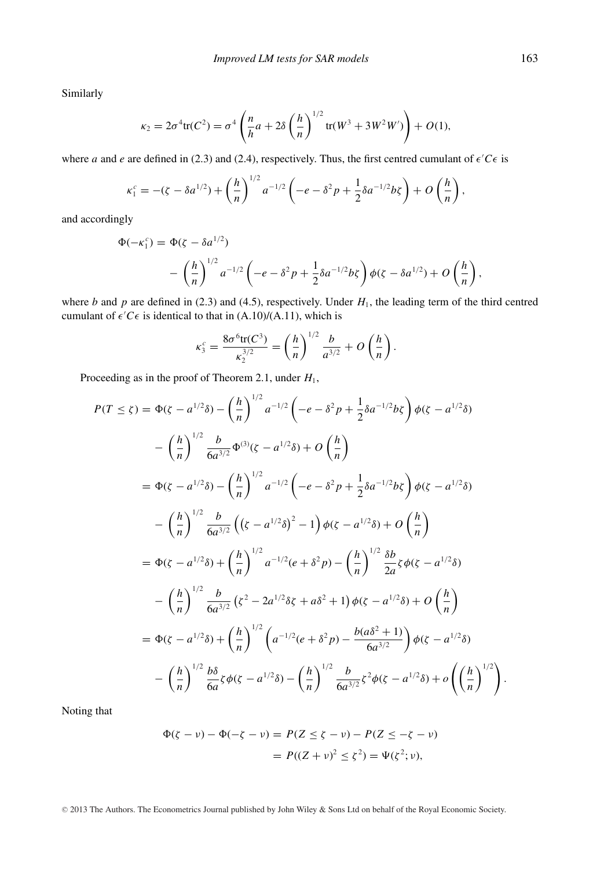Similarly

$$
\kappa_2 = 2\sigma^4 \text{tr}(C^2) = \sigma^4 \left( \frac{n}{h} a + 2\delta \left( \frac{h}{n} \right)^{1/2} \text{tr}(W^3 + 3W^2 W') \right) + O(1),
$$

where *a* and *e* are defined in (2.3) and (2.4), respectively. Thus, the first centred cumulant of  $\epsilon' C \epsilon$  is

$$
\kappa_1^c = -(\zeta - \delta a^{1/2}) + \left(\frac{h}{n}\right)^{1/2} a^{-1/2} \left(-e - \delta^2 p + \frac{1}{2} \delta a^{-1/2} b \zeta\right) + O\left(\frac{h}{n}\right),\,
$$

and accordingly

$$
\Phi(-\kappa_1^c) = \Phi(\zeta - \delta a^{1/2}) - \left(\frac{h}{n}\right)^{1/2} a^{-1/2} \left(-e - \delta^2 p + \frac{1}{2} \delta a^{-1/2} b \zeta\right) \phi(\zeta - \delta a^{1/2}) + O\left(\frac{h}{n}\right),
$$

where *b* and *p* are defined in (2.3) and (4.5), respectively. Under  $H_1$ , the leading term of the third centred cumulant of  $\epsilon$ <sup>'</sup> $C\epsilon$  is identical to that in (A.10)/(A.11), which is

$$
\kappa_3^c = \frac{8\sigma^6 \text{tr}(C^3)}{\kappa_2^{3/2}} = \left(\frac{h}{n}\right)^{1/2} \frac{b}{a^{3/2}} + O\left(\frac{h}{n}\right).
$$

Proceeding as in the proof of Theorem 2.1, under *H*1,

$$
P(T \le \zeta) = \Phi(\zeta - a^{1/2}\delta) - \left(\frac{h}{n}\right)^{1/2} a^{-1/2} \left(-e - \delta^2 p + \frac{1}{2}\delta a^{-1/2} b\zeta\right) \phi(\zeta - a^{1/2}\delta)
$$
  

$$
- \left(\frac{h}{n}\right)^{1/2} \frac{b}{6a^{3/2}} \Phi^{(3)}(\zeta - a^{1/2}\delta) + O\left(\frac{h}{n}\right)
$$
  

$$
= \Phi(\zeta - a^{1/2}\delta) - \left(\frac{h}{n}\right)^{1/2} a^{-1/2} \left(-e - \delta^2 p + \frac{1}{2}\delta a^{-1/2} b\zeta\right) \phi(\zeta - a^{1/2}\delta)
$$
  

$$
- \left(\frac{h}{n}\right)^{1/2} \frac{b}{6a^{3/2}} \left((\zeta - a^{1/2}\delta)^2 - 1\right) \phi(\zeta - a^{1/2}\delta) + O\left(\frac{h}{n}\right)
$$
  

$$
= \Phi(\zeta - a^{1/2}\delta) + \left(\frac{h}{n}\right)^{1/2} a^{-1/2} (e + \delta^2 p) - \left(\frac{h}{n}\right)^{1/2} \frac{\delta b}{2a} \zeta \phi(\zeta - a^{1/2}\delta)
$$
  

$$
- \left(\frac{h}{n}\right)^{1/2} \frac{b}{6a^{3/2}} \left(\zeta^2 - 2a^{1/2}\delta\zeta + a\delta^2 + 1\right) \phi(\zeta - a^{1/2}\delta) + O\left(\frac{h}{n}\right)
$$
  

$$
= \Phi(\zeta - a^{1/2}\delta) + \left(\frac{h}{n}\right)^{1/2} \left(a^{-1/2}(e + \delta^2 p) - \frac{b(a\delta^2 + 1)}{6a^{3/2}}\right) \phi(\zeta - a^{1/2}\delta)
$$
  

$$
- \left(\frac{h}{n}\right)^{1/2} \frac{b\delta}{6a} \zeta \phi(\zeta - a^{1/2}\delta) - \left(\frac{h}{n}\right)^{1/2} \frac{b}{6a^{3/2}} \zeta^2 \phi(\zeta - a^{1/2}\delta) + o\left(\left(\frac{h}{n}\right)^{1/2}\right).
$$

Noting that

$$
\Phi(\zeta - \nu) - \Phi(-\zeta - \nu) = P(Z \le \zeta - \nu) - P(Z \le -\zeta - \nu) \\
= P((Z + \nu)^2 \le \zeta^2) = \Psi(\zeta^2; \nu),
$$